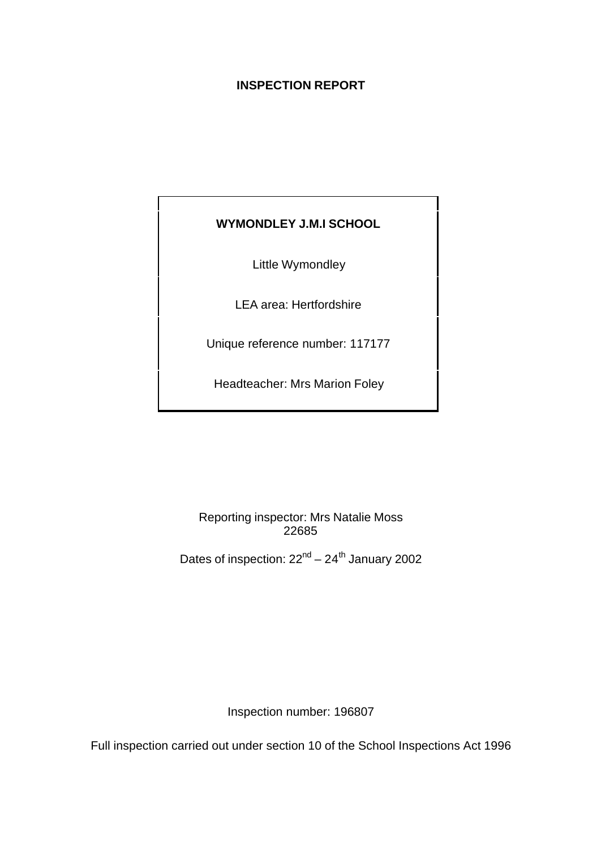# **INSPECTION REPORT**

# **WYMONDLEY J.M.I SCHOOL**

Little Wymondley

LEA area: Hertfordshire

Unique reference number: 117177

Headteacher: Mrs Marion Foley

Reporting inspector: Mrs Natalie Moss 22685

Dates of inspection:  $22<sup>nd</sup> - 24<sup>th</sup>$  January 2002

Inspection number: 196807

Full inspection carried out under section 10 of the School Inspections Act 1996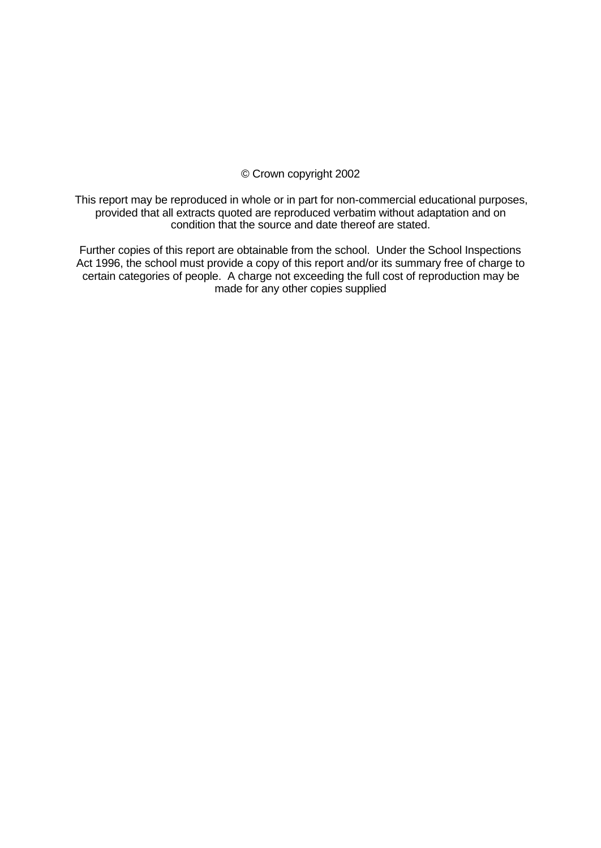## © Crown copyright 2002

This report may be reproduced in whole or in part for non-commercial educational purposes, provided that all extracts quoted are reproduced verbatim without adaptation and on condition that the source and date thereof are stated.

Further copies of this report are obtainable from the school. Under the School Inspections Act 1996, the school must provide a copy of this report and/or its summary free of charge to certain categories of people. A charge not exceeding the full cost of reproduction may be made for any other copies supplied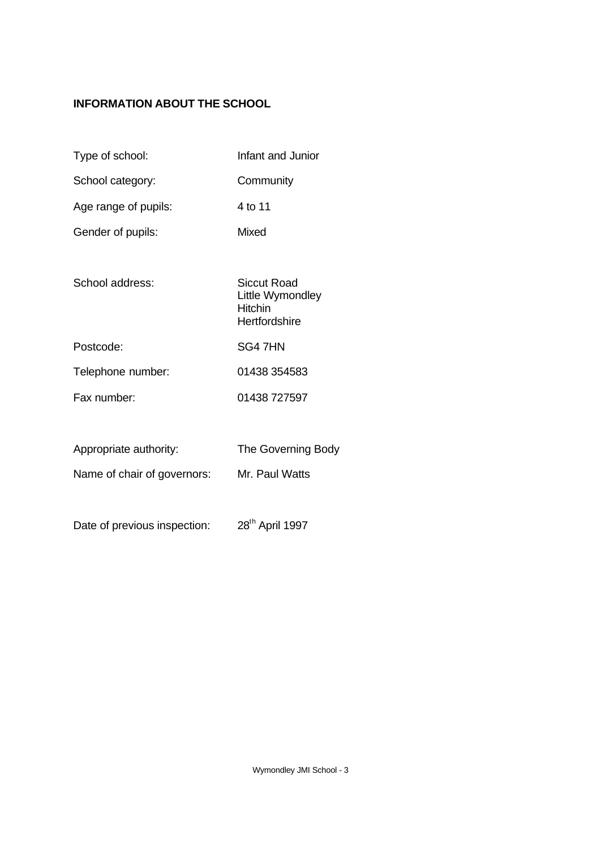# **INFORMATION ABOUT THE SCHOOL**

- Type of school: Infant and Junior
- School category: Community
- Age range of pupils: 4 to 11
- Gender of pupils: Mixed
- School address: Siccut Road
	- Little Wymondley Hitchin **Hertfordshire**
- Postcode: SG4 7HN
- Telephone number: 01438 354583 Fax number: 01438 727597
- Appropriate authority: The Governing Body
- Name of chair of governors: Mr. Paul Watts
- Date of previous inspection: 28<sup>th</sup> April 1997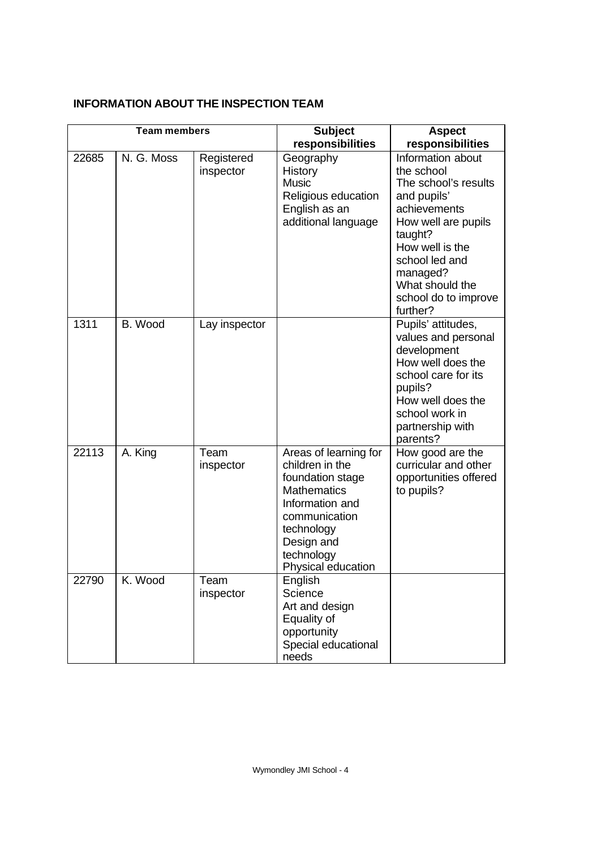# **INFORMATION ABOUT THE INSPECTION TEAM**

| <b>Team members</b> |            | <b>Subject</b>          | <b>Aspect</b>                                                                                                                                                                          |                                                                                                                                                                                                                                  |
|---------------------|------------|-------------------------|----------------------------------------------------------------------------------------------------------------------------------------------------------------------------------------|----------------------------------------------------------------------------------------------------------------------------------------------------------------------------------------------------------------------------------|
|                     |            |                         | responsibilities                                                                                                                                                                       | responsibilities                                                                                                                                                                                                                 |
| 22685               | N. G. Moss | Registered<br>inspector | Geography<br>History<br><b>Music</b><br>Religious education<br>English as an<br>additional language                                                                                    | Information about<br>the school<br>The school's results<br>and pupils'<br>achievements<br>How well are pupils<br>taught?<br>How well is the<br>school led and<br>managed?<br>What should the<br>school do to improve<br>further? |
| 1311                | B. Wood    | Lay inspector           |                                                                                                                                                                                        | Pupils' attitudes,<br>values and personal<br>development<br>How well does the<br>school care for its<br>pupils?<br>How well does the<br>school work in<br>partnership with<br>parents?                                           |
| 22113               | A. King    | Team<br>inspector       | Areas of learning for<br>children in the<br>foundation stage<br><b>Mathematics</b><br>Information and<br>communication<br>technology<br>Design and<br>technology<br>Physical education | How good are the<br>curricular and other<br>opportunities offered<br>to pupils?                                                                                                                                                  |
| 22790               | K. Wood    | Team<br>inspector       | English<br>Science<br>Art and design<br>Equality of<br>opportunity<br>Special educational<br>needs                                                                                     |                                                                                                                                                                                                                                  |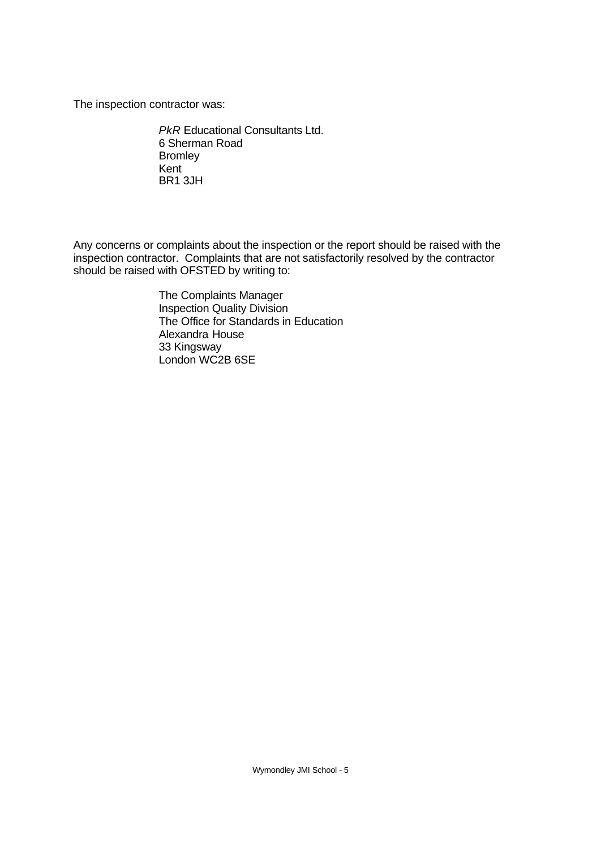The inspection contractor was:

*PkR* Educational Consultants Ltd. 6 Sherman Road Bromley Kent BR1 3JH

Any concerns or complaints about the inspection or the report should be raised with the inspection contractor. Complaints that are not satisfactorily resolved by the contractor should be raised with OFSTED by writing to:

> The Complaints Manager Inspection Quality Division The Office for Standards in Education Alexandra House 33 Kingsway London WC2B 6SE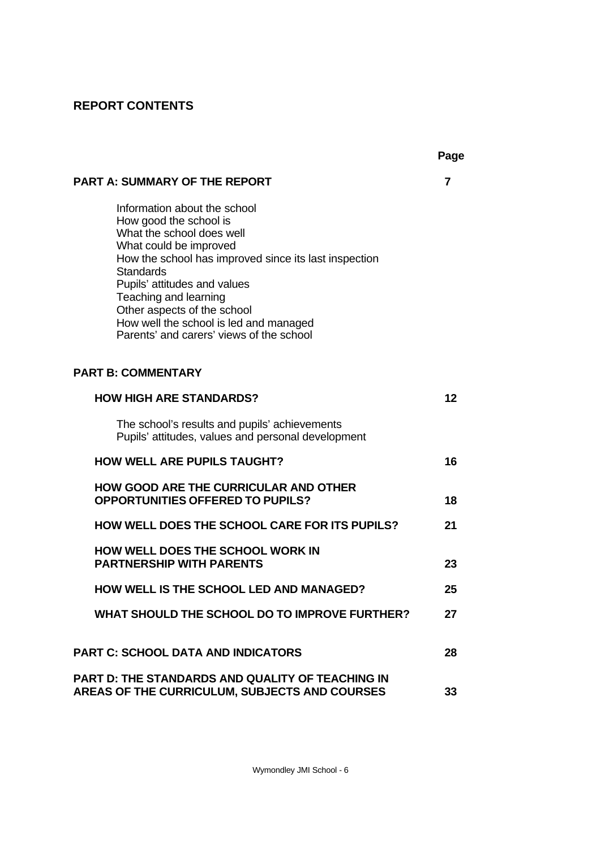# **REPORT CONTENTS**

|                                                                                                                                                                                                                                                                                                                                                                          | Page |
|--------------------------------------------------------------------------------------------------------------------------------------------------------------------------------------------------------------------------------------------------------------------------------------------------------------------------------------------------------------------------|------|
| <b>PART A: SUMMARY OF THE REPORT</b>                                                                                                                                                                                                                                                                                                                                     | 7    |
| Information about the school<br>How good the school is<br>What the school does well<br>What could be improved<br>How the school has improved since its last inspection<br><b>Standards</b><br>Pupils' attitudes and values<br>Teaching and learning<br>Other aspects of the school<br>How well the school is led and managed<br>Parents' and carers' views of the school |      |
| <b>PART B: COMMENTARY</b>                                                                                                                                                                                                                                                                                                                                                |      |
| <b>HOW HIGH ARE STANDARDS?</b>                                                                                                                                                                                                                                                                                                                                           | 12   |
| The school's results and pupils' achievements<br>Pupils' attitudes, values and personal development                                                                                                                                                                                                                                                                      |      |
| <b>HOW WELL ARE PUPILS TAUGHT?</b>                                                                                                                                                                                                                                                                                                                                       | 16   |
| <b>HOW GOOD ARE THE CURRICULAR AND OTHER</b><br><b>OPPORTUNITIES OFFERED TO PUPILS?</b>                                                                                                                                                                                                                                                                                  | 18   |
| HOW WELL DOES THE SCHOOL CARE FOR ITS PUPILS?                                                                                                                                                                                                                                                                                                                            | 21   |
| <b>HOW WELL DOES THE SCHOOL WORK IN</b><br><b>PARTNERSHIP WITH PARENTS</b>                                                                                                                                                                                                                                                                                               | 23   |
| <b>HOW WELL IS THE SCHOOL LED AND MANAGED?</b>                                                                                                                                                                                                                                                                                                                           | 25   |
| WHAT SHOULD THE SCHOOL DO TO IMPROVE FURTHER?                                                                                                                                                                                                                                                                                                                            | 27   |
| <b>PART C: SCHOOL DATA AND INDICATORS</b>                                                                                                                                                                                                                                                                                                                                | 28   |
| PART D: THE STANDARDS AND QUALITY OF TEACHING IN<br>AREAS OF THE CURRICULUM, SUBJECTS AND COURSES                                                                                                                                                                                                                                                                        | 33   |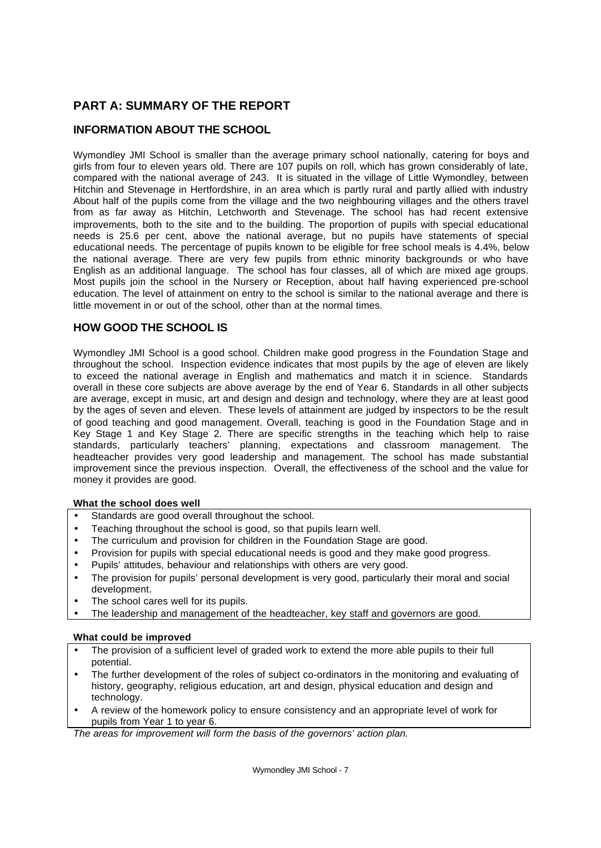# **PART A: SUMMARY OF THE REPORT**

# **INFORMATION ABOUT THE SCHOOL**

Wymondley JMI School is smaller than the average primary school nationally, catering for boys and girls from four to eleven years old. There are 107 pupils on roll, which has grown considerably of late, compared with the national average of 243. It is situated in the village of Little Wymondley, between Hitchin and Stevenage in Hertfordshire, in an area which is partly rural and partly allied with industry About half of the pupils come from the village and the two neighbouring villages and the others travel from as far away as Hitchin, Letchworth and Stevenage. The school has had recent extensive improvements, both to the site and to the building. The proportion of pupils with special educational needs is 25.6 per cent, above the national average, but no pupils have statements of special educational needs. The percentage of pupils known to be eligible for free school meals is 4.4%, below the national average. There are very few pupils from ethnic minority backgrounds or who have English as an additional language. The school has four classes, all of which are mixed age groups. Most pupils join the school in the Nursery or Reception, about half having experienced pre-school education. The level of attainment on entry to the school is similar to the national average and there is little movement in or out of the school, other than at the normal times.

# **HOW GOOD THE SCHOOL IS**

Wymondley JMI School is a good school. Children make good progress in the Foundation Stage and throughout the school. Inspection evidence indicates that most pupils by the age of eleven are likely to exceed the national average in English and mathematics and match it in science. Standards overall in these core subjects are above average by the end of Year 6. Standards in all other subjects are average, except in music, art and design and design and technology, where they are at least good by the ages of seven and eleven. These levels of attainment are judged by inspectors to be the result of good teaching and good management. Overall, teaching is good in the Foundation Stage and in Key Stage 1 and Key Stage 2. There are specific strengths in the teaching which help to raise standards, particularly teachers' planning, expectations and classroom management. The headteacher provides very good leadership and management. The school has made substantial improvement since the previous inspection. Overall, the effectiveness of the school and the value for money it provides are good.

#### **What the school does well**

- Standards are good overall throughout the school.
- Teaching throughout the school is good, so that pupils learn well.
- The curriculum and provision for children in the Foundation Stage are good.
- Provision for pupils with special educational needs is good and they make good progress.
- Pupils' attitudes, behaviour and relationships with others are very good.
- The provision for pupils' personal development is very good, particularly their moral and social development.
- The school cares well for its pupils.
- The leadership and management of the headteacher, key staff and governors are good.

#### **What could be improved**

- The provision of a sufficient level of graded work to extend the more able pupils to their full potential.
- The further development of the roles of subject co-ordinators in the monitoring and evaluating of history, geography, religious education, art and design, physical education and design and technology.
- A review of the homework policy to ensure consistency and an appropriate level of work for pupils from Year 1 to year 6.

*The areas for improvement will form the basis of the governors' action plan.*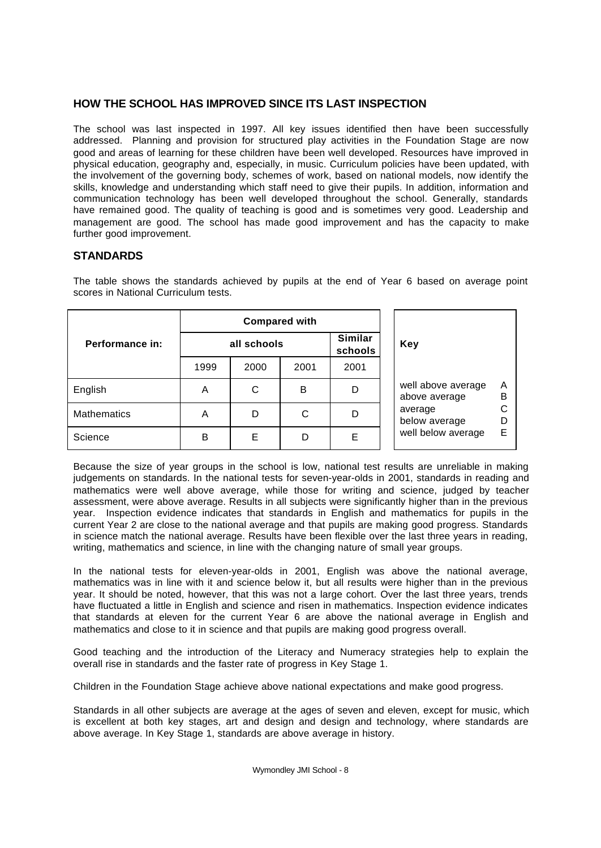# **HOW THE SCHOOL HAS IMPROVED SINCE ITS LAST INSPECTION**

The school was last inspected in 1997. All key issues identified then have been successfully addressed. Planning and provision for structured play activities in the Foundation Stage are now good and areas of learning for these children have been well developed. Resources have improved in physical education, geography and, especially, in music. Curriculum policies have been updated, with the involvement of the governing body, schemes of work, based on national models, now identify the skills, knowledge and understanding which staff need to give their pupils. In addition, information and communication technology has been well developed throughout the school. Generally, standards have remained good. The quality of teaching is good and is sometimes very good. Leadership and management are good. The school has made good improvement and has the capacity to make further good improvement.

# **STANDARDS**

|                    | <b>Compared with</b> |      |      |                           |                                     |        |  |
|--------------------|----------------------|------|------|---------------------------|-------------------------------------|--------|--|
| Performance in:    | all schools          |      |      | <b>Similar</b><br>schools | <b>Key</b>                          |        |  |
|                    | 1999                 | 2000 | 2001 | 2001                      |                                     |        |  |
| English            | A                    | C    | в    | D                         | well above average<br>above average | Α<br>B |  |
| <b>Mathematics</b> | A                    | D    | C    | D                         | average<br>below average            | C<br>D |  |
| Science            | B                    | Е    | D    | Е                         | well below average                  | E      |  |

The table shows the standards achieved by pupils at the end of Year 6 based on average point scores in National Curriculum tests.

Because the size of year groups in the school is low, national test results are unreliable in making judgements on standards. In the national tests for seven-year-olds in 2001, standards in reading and mathematics were well above average, while those for writing and science, judged by teacher assessment, were above average. Results in all subjects were significantly higher than in the previous year. Inspection evidence indicates that standards in English and mathematics for pupils in the current Year 2 are close to the national average and that pupils are making good progress. Standards in science match the national average. Results have been flexible over the last three years in reading, writing, mathematics and science, in line with the changing nature of small year groups.

In the national tests for eleven-year-olds in 2001, English was above the national average, mathematics was in line with it and science below it, but all results were higher than in the previous year. It should be noted, however, that this was not a large cohort. Over the last three years, trends have fluctuated a little in English and science and risen in mathematics. Inspection evidence indicates that standards at eleven for the current Year 6 are above the national average in English and mathematics and close to it in science and that pupils are making good progress overall.

Good teaching and the introduction of the Literacy and Numeracy strategies help to explain the overall rise in standards and the faster rate of progress in Key Stage 1.

Children in the Foundation Stage achieve above national expectations and make good progress.

Standards in all other subjects are average at the ages of seven and eleven, except for music, which is excellent at both key stages, art and design and design and technology, where standards are above average. In Key Stage 1, standards are above average in history.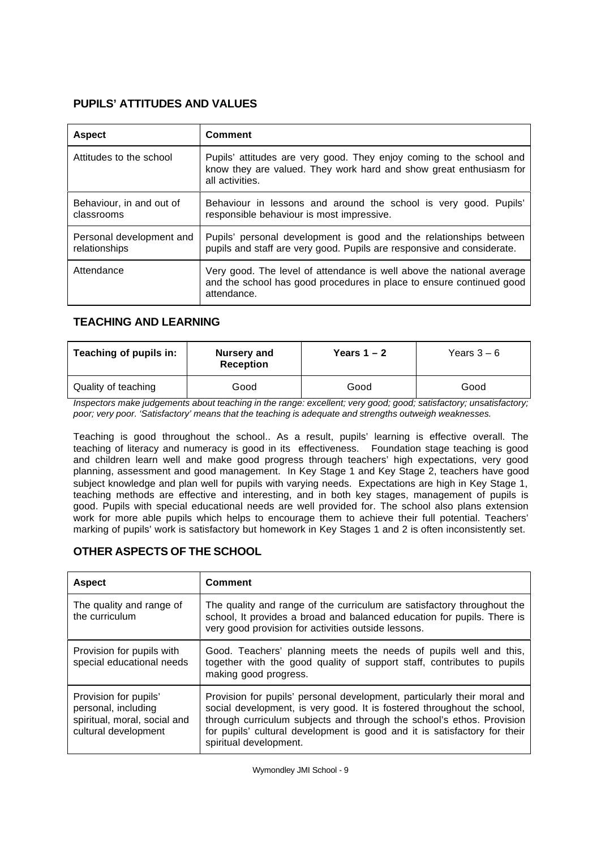# **PUPILS' ATTITUDES AND VALUES**

| <b>Aspect</b>                             | Comment                                                                                                                                                       |
|-------------------------------------------|---------------------------------------------------------------------------------------------------------------------------------------------------------------|
| Attitudes to the school                   | Pupils' attitudes are very good. They enjoy coming to the school and<br>know they are valued. They work hard and show great enthusiasm for<br>all activities. |
| Behaviour, in and out of<br>classrooms    | Behaviour in lessons and around the school is very good. Pupils'<br>responsible behaviour is most impressive.                                                 |
| Personal development and<br>relationships | Pupils' personal development is good and the relationships between<br>pupils and staff are very good. Pupils are responsive and considerate.                  |
| Attendance                                | Very good. The level of attendance is well above the national average<br>and the school has good procedures in place to ensure continued good<br>attendance.  |

# **TEACHING AND LEARNING**

| Teaching of pupils in: | <b>Nursery and</b><br><b>Reception</b> | Years $1 - 2$ | Years $3-6$ |  |
|------------------------|----------------------------------------|---------------|-------------|--|
| Quality of teaching    | Good                                   | Good          | Good        |  |

*Inspectors make judgements about teaching in the range: excellent; very good; good; satisfactory; unsatisfactory; poor; very poor. 'Satisfactory' means that the teaching is adequate and strengths outweigh weaknesses.*

Teaching is good throughout the school.. As a result, pupils' learning is effective overall. The teaching of literacy and numeracy is good in its effectiveness. Foundation stage teaching is good and children learn well and make good progress through teachers' high expectations, very good planning, assessment and good management. In Key Stage 1 and Key Stage 2, teachers have good subject knowledge and plan well for pupils with varying needs. Expectations are high in Key Stage 1, teaching methods are effective and interesting, and in both key stages, management of pupils is good. Pupils with special educational needs are well provided for. The school also plans extension work for more able pupils which helps to encourage them to achieve their full potential. Teachers' marking of pupils' work is satisfactory but homework in Key Stages 1 and 2 is often inconsistently set.

## **OTHER ASPECTS OF THE SCHOOL**

| <b>Aspect</b>                                                                                        | <b>Comment</b>                                                                                                                                                                                                                                                                                                                      |
|------------------------------------------------------------------------------------------------------|-------------------------------------------------------------------------------------------------------------------------------------------------------------------------------------------------------------------------------------------------------------------------------------------------------------------------------------|
| The quality and range of<br>the curriculum                                                           | The quality and range of the curriculum are satisfactory throughout the<br>school, It provides a broad and balanced education for pupils. There is<br>very good provision for activities outside lessons.                                                                                                                           |
| Provision for pupils with<br>special educational needs                                               | Good. Teachers' planning meets the needs of pupils well and this,<br>together with the good quality of support staff, contributes to pupils<br>making good progress.                                                                                                                                                                |
| Provision for pupils'<br>personal, including<br>spiritual, moral, social and<br>cultural development | Provision for pupils' personal development, particularly their moral and<br>social development, is very good. It is fostered throughout the school,<br>through curriculum subjects and through the school's ethos. Provision<br>for pupils' cultural development is good and it is satisfactory for their<br>spiritual development. |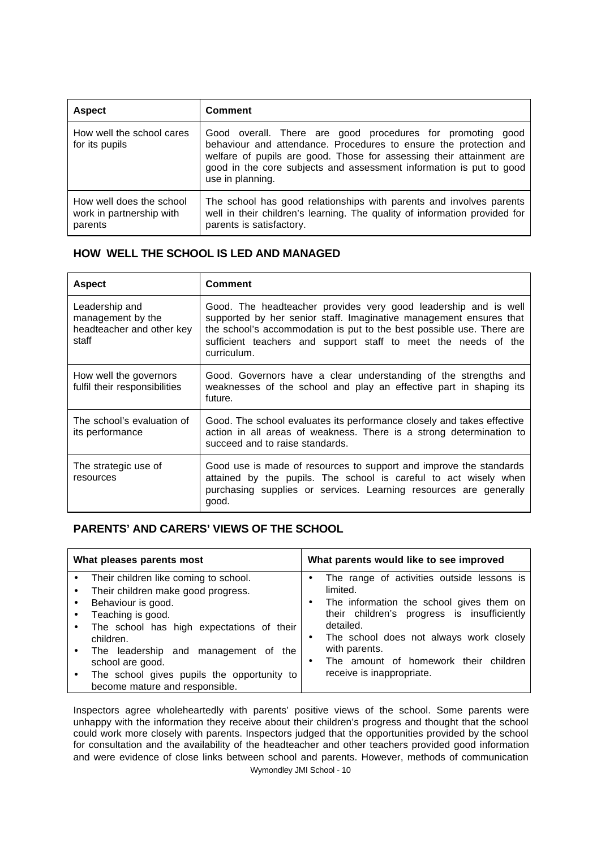| <b>Aspect</b>                                                   | <b>Comment</b>                                                                                                                                                                                                                                                                                     |
|-----------------------------------------------------------------|----------------------------------------------------------------------------------------------------------------------------------------------------------------------------------------------------------------------------------------------------------------------------------------------------|
| How well the school cares<br>for its pupils                     | Good overall. There are good procedures for promoting good<br>behaviour and attendance. Procedures to ensure the protection and<br>welfare of pupils are good. Those for assessing their attainment are<br>good in the core subjects and assessment information is put to good<br>use in planning. |
| How well does the school<br>work in partnership with<br>parents | The school has good relationships with parents and involves parents<br>well in their children's learning. The quality of information provided for<br>parents is satisfactory.                                                                                                                      |

# **HOW WELL THE SCHOOL IS LED AND MANAGED**

| <b>Aspect</b>                                                             | <b>Comment</b>                                                                                                                                                                                                                                                                                  |
|---------------------------------------------------------------------------|-------------------------------------------------------------------------------------------------------------------------------------------------------------------------------------------------------------------------------------------------------------------------------------------------|
| Leadership and<br>management by the<br>headteacher and other key<br>staff | Good. The headteacher provides very good leadership and is well<br>supported by her senior staff. Imaginative management ensures that<br>the school's accommodation is put to the best possible use. There are<br>sufficient teachers and support staff to meet the needs of the<br>curriculum. |
| How well the governors<br>fulfil their responsibilities                   | Good. Governors have a clear understanding of the strengths and<br>weaknesses of the school and play an effective part in shaping its<br>future.                                                                                                                                                |
| The school's evaluation of<br>its performance                             | Good. The school evaluates its performance closely and takes effective<br>action in all areas of weakness. There is a strong determination to<br>succeed and to raise standards.                                                                                                                |
| The strategic use of<br>resources                                         | Good use is made of resources to support and improve the standards<br>attained by the pupils. The school is careful to act wisely when<br>purchasing supplies or services. Learning resources are generally<br>good.                                                                            |

## **PARENTS' AND CARERS' VIEWS OF THE SCHOOL**

| What pleases parents most                                                                                                                                                                                                                                                                                                                      | What parents would like to see improved                                                                                                                                                                                                                                                          |  |  |
|------------------------------------------------------------------------------------------------------------------------------------------------------------------------------------------------------------------------------------------------------------------------------------------------------------------------------------------------|--------------------------------------------------------------------------------------------------------------------------------------------------------------------------------------------------------------------------------------------------------------------------------------------------|--|--|
| Their children like coming to school.<br>$\bullet$<br>Their children make good progress.<br>Behaviour is good.<br>Teaching is good.<br>The school has high expectations of their<br>٠<br>children.<br>The leadership and management of the<br>school are good.<br>The school gives pupils the opportunity to<br>become mature and responsible. | The range of activities outside lessons is<br>limited.<br>The information the school gives them on<br>their children's progress is insufficiently<br>detailed.<br>The school does not always work closely<br>with parents.<br>The amount of homework their children<br>receive is inappropriate. |  |  |

Inspectors agree wholeheartedly with parents' positive views of the school. Some parents were unhappy with the information they receive about their children's progress and thought that the school could work more closely with parents. Inspectors judged that the opportunities provided by the school for consultation and the availability of the headteacher and other teachers provided good information and were evidence of close links between school and parents. However, methods of communication

Wymondley JMI School - 10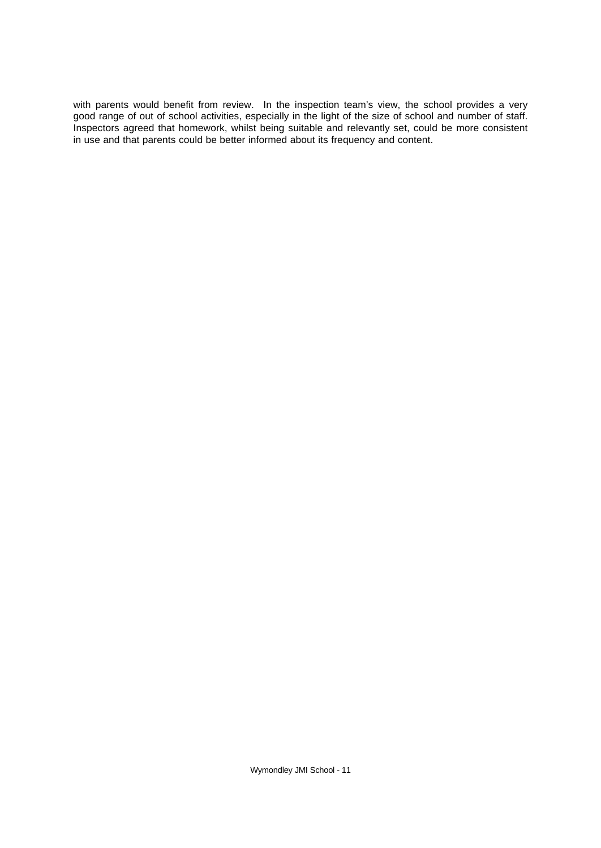with parents would benefit from review. In the inspection team's view, the school provides a very good range of out of school activities, especially in the light of the size of school and number of staff. Inspectors agreed that homework, whilst being suitable and relevantly set, could be more consistent in use and that parents could be better informed about its frequency and content.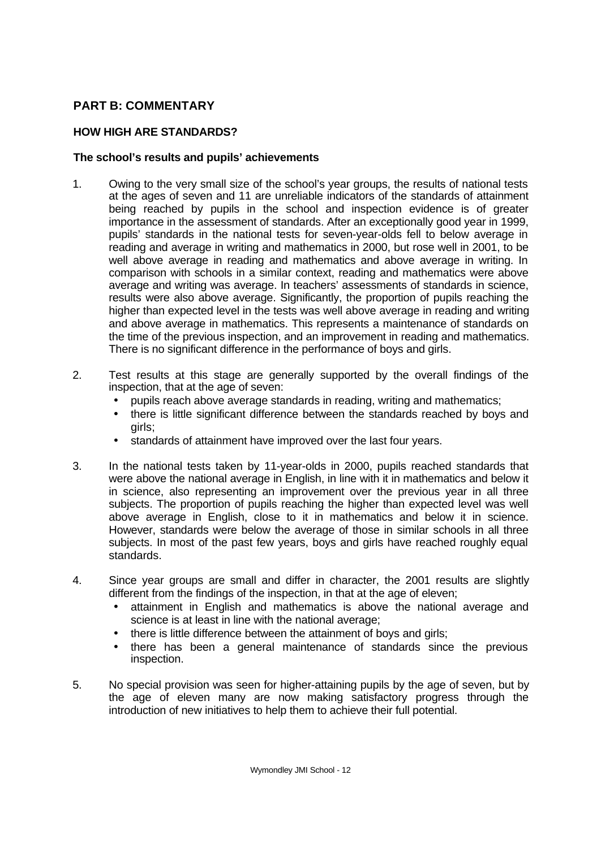# **PART B: COMMENTARY**

# **HOW HIGH ARE STANDARDS?**

# **The school's results and pupils' achievements**

- 1. Owing to the very small size of the school's year groups, the results of national tests at the ages of seven and 11 are unreliable indicators of the standards of attainment being reached by pupils in the school and inspection evidence is of greater importance in the assessment of standards. After an exceptionally good year in 1999, pupils' standards in the national tests for seven-year-olds fell to below average in reading and average in writing and mathematics in 2000, but rose well in 2001, to be well above average in reading and mathematics and above average in writing. In comparison with schools in a similar context, reading and mathematics were above average and writing was average. In teachers' assessments of standards in science, results were also above average. Significantly, the proportion of pupils reaching the higher than expected level in the tests was well above average in reading and writing and above average in mathematics. This represents a maintenance of standards on the time of the previous inspection, and an improvement in reading and mathematics. There is no significant difference in the performance of boys and girls.
- 2. Test results at this stage are generally supported by the overall findings of the inspection, that at the age of seven:
	- pupils reach above average standards in reading, writing and mathematics;
	- there is little significant difference between the standards reached by boys and girls;
	- standards of attainment have improved over the last four years.
- 3. In the national tests taken by 11-year-olds in 2000, pupils reached standards that were above the national average in English, in line with it in mathematics and below it in science, also representing an improvement over the previous year in all three subjects. The proportion of pupils reaching the higher than expected level was well above average in English, close to it in mathematics and below it in science. However, standards were below the average of those in similar schools in all three subjects. In most of the past few years, boys and girls have reached roughly equal standards.
- 4. Since year groups are small and differ in character, the 2001 results are slightly different from the findings of the inspection, in that at the age of eleven;
	- attainment in English and mathematics is above the national average and science is at least in line with the national average;
	- there is little difference between the attainment of boys and girls;
	- there has been a general maintenance of standards since the previous inspection.
- 5. No special provision was seen for higher-attaining pupils by the age of seven, but by the age of eleven many are now making satisfactory progress through the introduction of new initiatives to help them to achieve their full potential.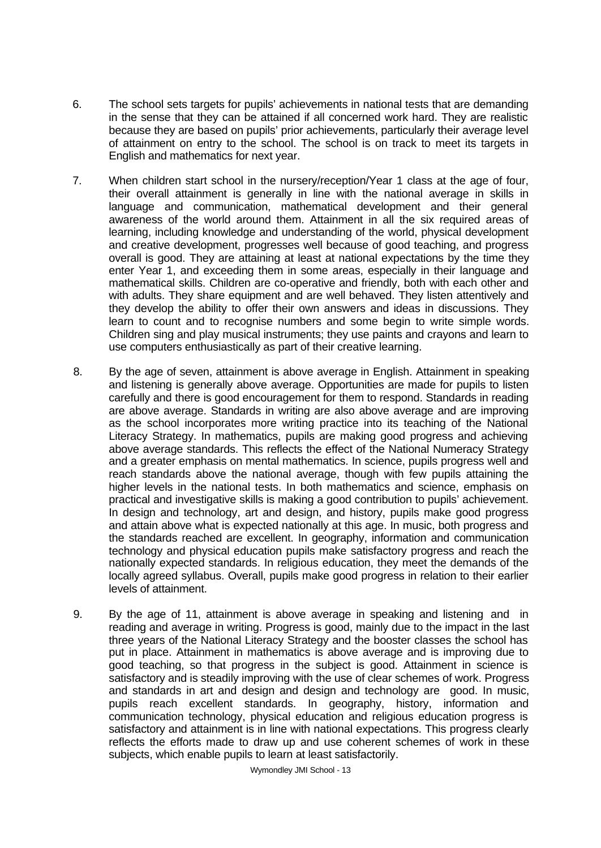- 6. The school sets targets for pupils' achievements in national tests that are demanding in the sense that they can be attained if all concerned work hard. They are realistic because they are based on pupils' prior achievements, particularly their average level of attainment on entry to the school. The school is on track to meet its targets in English and mathematics for next year.
- 7. When children start school in the nursery/reception/Year 1 class at the age of four, their overall attainment is generally in line with the national average in skills in language and communication, mathematical development and their general awareness of the world around them. Attainment in all the six required areas of learning, including knowledge and understanding of the world, physical development and creative development, progresses well because of good teaching, and progress overall is good. They are attaining at least at national expectations by the time they enter Year 1, and exceeding them in some areas, especially in their language and mathematical skills. Children are co-operative and friendly, both with each other and with adults. They share equipment and are well behaved. They listen attentively and they develop the ability to offer their own answers and ideas in discussions. They learn to count and to recognise numbers and some begin to write simple words. Children sing and play musical instruments; they use paints and crayons and learn to use computers enthusiastically as part of their creative learning.
- 8. By the age of seven, attainment is above average in English. Attainment in speaking and listening is generally above average. Opportunities are made for pupils to listen carefully and there is good encouragement for them to respond. Standards in reading are above average. Standards in writing are also above average and are improving as the school incorporates more writing practice into its teaching of the National Literacy Strategy. In mathematics, pupils are making good progress and achieving above average standards. This reflects the effect of the National Numeracy Strategy and a greater emphasis on mental mathematics. In science, pupils progress well and reach standards above the national average, though with few pupils attaining the higher levels in the national tests. In both mathematics and science, emphasis on practical and investigative skills is making a good contribution to pupils' achievement. In design and technology, art and design, and history, pupils make good progress and attain above what is expected nationally at this age. In music, both progress and the standards reached are excellent. In geography, information and communication technology and physical education pupils make satisfactory progress and reach the nationally expected standards. In religious education, they meet the demands of the locally agreed syllabus. Overall, pupils make good progress in relation to their earlier levels of attainment.
- 9. By the age of 11, attainment is above average in speaking and listening and in reading and average in writing. Progress is good, mainly due to the impact in the last three years of the National Literacy Strategy and the booster classes the school has put in place. Attainment in mathematics is above average and is improving due to good teaching, so that progress in the subject is good. Attainment in science is satisfactory and is steadily improving with the use of clear schemes of work. Progress and standards in art and design and design and technology are good. In music, pupils reach excellent standards. In geography, history, information and communication technology, physical education and religious education progress is satisfactory and attainment is in line with national expectations. This progress clearly reflects the efforts made to draw up and use coherent schemes of work in these subjects, which enable pupils to learn at least satisfactorily.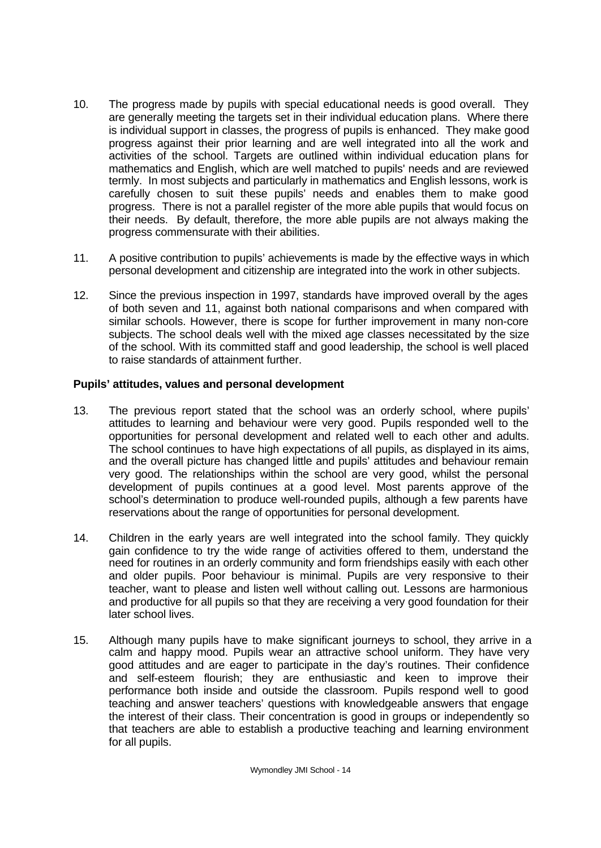- 10. The progress made by pupils with special educational needs is good overall. They are generally meeting the targets set in their individual education plans. Where there is individual support in classes, the progress of pupils is enhanced. They make good progress against their prior learning and are well integrated into all the work and activities of the school. Targets are outlined within individual education plans for mathematics and English, which are well matched to pupils' needs and are reviewed termly. In most subjects and particularly in mathematics and English lessons, work is carefully chosen to suit these pupils' needs and enables them to make good progress. There is not a parallel register of the more able pupils that would focus on their needs. By default, therefore, the more able pupils are not always making the progress commensurate with their abilities.
- 11. A positive contribution to pupils' achievements is made by the effective ways in which personal development and citizenship are integrated into the work in other subjects.
- 12. Since the previous inspection in 1997, standards have improved overall by the ages of both seven and 11, against both national comparisons and when compared with similar schools. However, there is scope for further improvement in many non-core subjects. The school deals well with the mixed age classes necessitated by the size of the school. With its committed staff and good leadership, the school is well placed to raise standards of attainment further.

# **Pupils' attitudes, values and personal development**

- 13. The previous report stated that the school was an orderly school, where pupils' attitudes to learning and behaviour were very good. Pupils responded well to the opportunities for personal development and related well to each other and adults. The school continues to have high expectations of all pupils, as displayed in its aims, and the overall picture has changed little and pupils' attitudes and behaviour remain very good. The relationships within the school are very good, whilst the personal development of pupils continues at a good level. Most parents approve of the school's determination to produce well-rounded pupils, although a few parents have reservations about the range of opportunities for personal development.
- 14. Children in the early years are well integrated into the school family. They quickly gain confidence to try the wide range of activities offered to them, understand the need for routines in an orderly community and form friendships easily with each other and older pupils. Poor behaviour is minimal. Pupils are very responsive to their teacher, want to please and listen well without calling out. Lessons are harmonious and productive for all pupils so that they are receiving a very good foundation for their later school lives.
- 15. Although many pupils have to make significant journeys to school, they arrive in a calm and happy mood. Pupils wear an attractive school uniform. They have very good attitudes and are eager to participate in the day's routines. Their confidence and self-esteem flourish; they are enthusiastic and keen to improve their performance both inside and outside the classroom. Pupils respond well to good teaching and answer teachers' questions with knowledgeable answers that engage the interest of their class. Their concentration is good in groups or independently so that teachers are able to establish a productive teaching and learning environment for all pupils.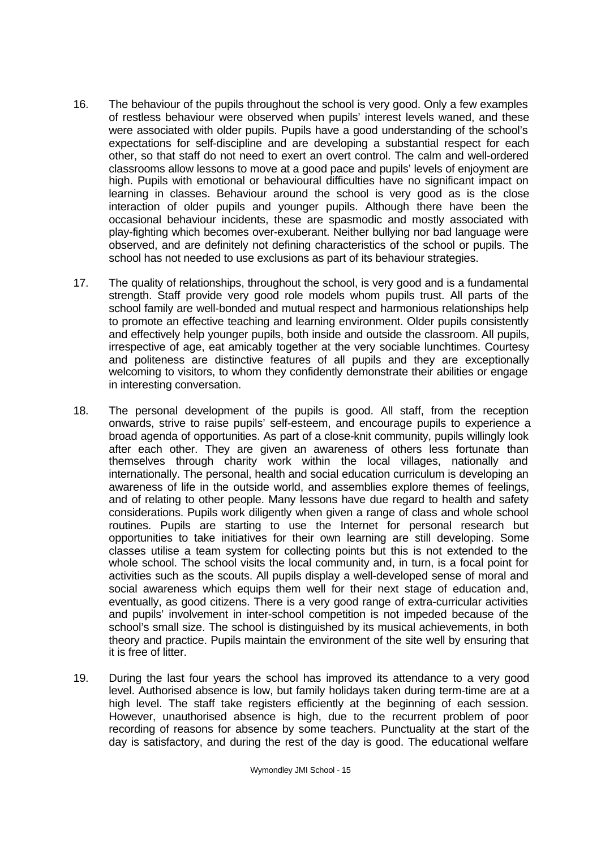- 16. The behaviour of the pupils throughout the school is very good. Only a few examples of restless behaviour were observed when pupils' interest levels waned, and these were associated with older pupils. Pupils have a good understanding of the school's expectations for self-discipline and are developing a substantial respect for each other, so that staff do not need to exert an overt control. The calm and well-ordered classrooms allow lessons to move at a good pace and pupils' levels of enjoyment are high. Pupils with emotional or behavioural difficulties have no significant impact on learning in classes. Behaviour around the school is very good as is the close interaction of older pupils and younger pupils. Although there have been the occasional behaviour incidents, these are spasmodic and mostly associated with play-fighting which becomes over-exuberant. Neither bullying nor bad language were observed, and are definitely not defining characteristics of the school or pupils. The school has not needed to use exclusions as part of its behaviour strategies.
- 17. The quality of relationships, throughout the school, is very good and is a fundamental strength. Staff provide very good role models whom pupils trust. All parts of the school family are well-bonded and mutual respect and harmonious relationships help to promote an effective teaching and learning environment. Older pupils consistently and effectively help younger pupils, both inside and outside the classroom. All pupils, irrespective of age, eat amicably together at the very sociable lunchtimes. Courtesy and politeness are distinctive features of all pupils and they are exceptionally welcoming to visitors, to whom they confidently demonstrate their abilities or engage in interesting conversation.
- 18. The personal development of the pupils is good. All staff, from the reception onwards, strive to raise pupils' self-esteem, and encourage pupils to experience a broad agenda of opportunities. As part of a close-knit community, pupils willingly look after each other. They are given an awareness of others less fortunate than themselves through charity work within the local villages, nationally and internationally. The personal, health and social education curriculum is developing an awareness of life in the outside world, and assemblies explore themes of feelings, and of relating to other people. Many lessons have due regard to health and safety considerations. Pupils work diligently when given a range of class and whole school routines. Pupils are starting to use the Internet for personal research but opportunities to take initiatives for their own learning are still developing. Some classes utilise a team system for collecting points but this is not extended to the whole school. The school visits the local community and, in turn, is a focal point for activities such as the scouts. All pupils display a well-developed sense of moral and social awareness which equips them well for their next stage of education and, eventually, as good citizens. There is a very good range of extra-curricular activities and pupils' involvement in inter-school competition is not impeded because of the school's small size. The school is distinguished by its musical achievements, in both theory and practice. Pupils maintain the environment of the site well by ensuring that it is free of litter.
- 19. During the last four years the school has improved its attendance to a very good level. Authorised absence is low, but family holidays taken during term-time are at a high level. The staff take registers efficiently at the beginning of each session. However, unauthorised absence is high, due to the recurrent problem of poor recording of reasons for absence by some teachers. Punctuality at the start of the day is satisfactory, and during the rest of the day is good. The educational welfare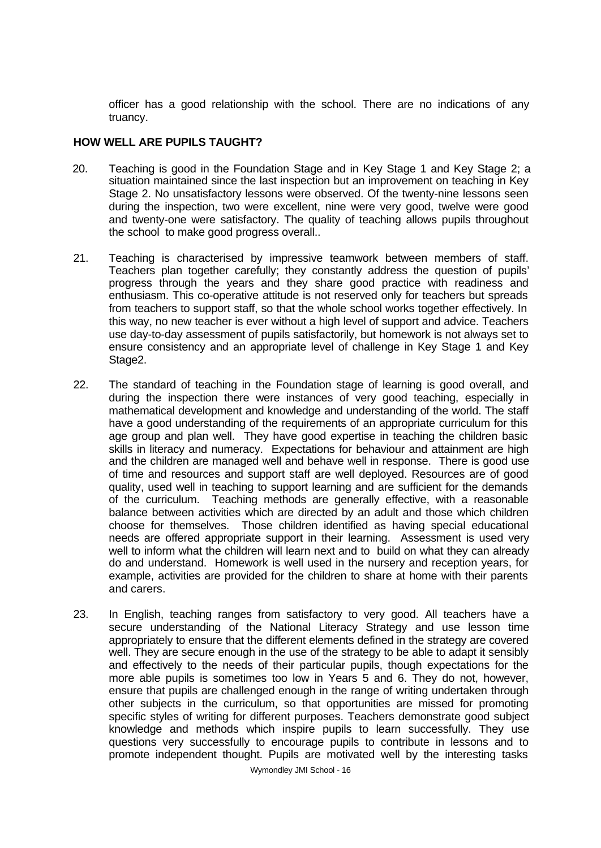officer has a good relationship with the school. There are no indications of any truancy.

# **HOW WELL ARE PUPILS TAUGHT?**

- 20. Teaching is good in the Foundation Stage and in Key Stage 1 and Key Stage 2; a situation maintained since the last inspection but an improvement on teaching in Key Stage 2. No unsatisfactory lessons were observed. Of the twenty-nine lessons seen during the inspection, two were excellent, nine were very good, twelve were good and twenty-one were satisfactory. The quality of teaching allows pupils throughout the school to make good progress overall..
- 21. Teaching is characterised by impressive teamwork between members of staff. Teachers plan together carefully; they constantly address the question of pupils' progress through the years and they share good practice with readiness and enthusiasm. This co-operative attitude is not reserved only for teachers but spreads from teachers to support staff, so that the whole school works together effectively. In this way, no new teacher is ever without a high level of support and advice. Teachers use day-to-day assessment of pupils satisfactorily, but homework is not always set to ensure consistency and an appropriate level of challenge in Key Stage 1 and Key Stage2.
- 22. The standard of teaching in the Foundation stage of learning is good overall, and during the inspection there were instances of very good teaching, especially in mathematical development and knowledge and understanding of the world. The staff have a good understanding of the requirements of an appropriate curriculum for this age group and plan well. They have good expertise in teaching the children basic skills in literacy and numeracy. Expectations for behaviour and attainment are high and the children are managed well and behave well in response. There is good use of time and resources and support staff are well deployed. Resources are of good quality, used well in teaching to support learning and are sufficient for the demands of the curriculum. Teaching methods are generally effective, with a reasonable balance between activities which are directed by an adult and those which children choose for themselves. Those children identified as having special educational needs are offered appropriate support in their learning. Assessment is used very well to inform what the children will learn next and to build on what they can already do and understand. Homework is well used in the nursery and reception years, for example, activities are provided for the children to share at home with their parents and carers.
- 23. In English, teaching ranges from satisfactory to very good. All teachers have a secure understanding of the National Literacy Strategy and use lesson time appropriately to ensure that the different elements defined in the strategy are covered well. They are secure enough in the use of the strategy to be able to adapt it sensibly and effectively to the needs of their particular pupils, though expectations for the more able pupils is sometimes too low in Years 5 and 6. They do not, however, ensure that pupils are challenged enough in the range of writing undertaken through other subjects in the curriculum, so that opportunities are missed for promoting specific styles of writing for different purposes. Teachers demonstrate good subject knowledge and methods which inspire pupils to learn successfully. They use questions very successfully to encourage pupils to contribute in lessons and to promote independent thought. Pupils are motivated well by the interesting tasks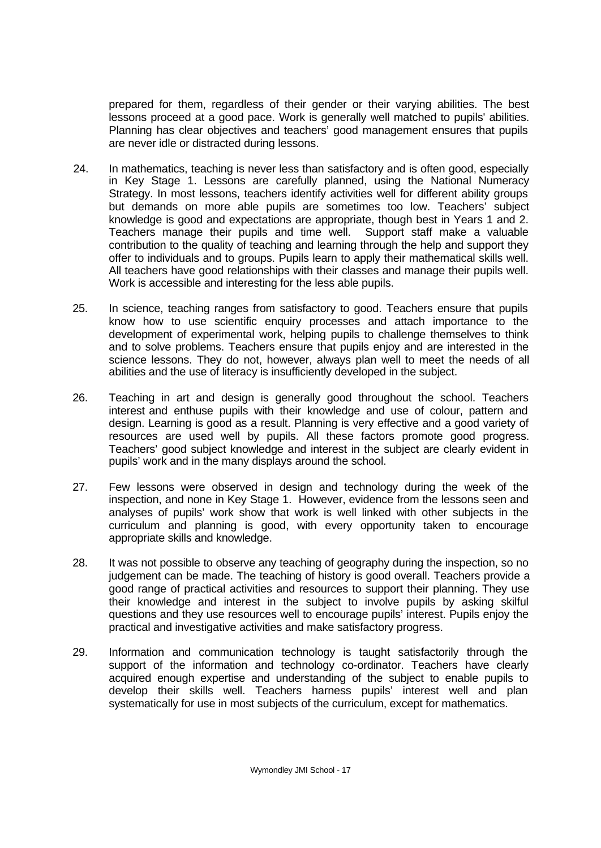prepared for them, regardless of their gender or their varying abilities. The best lessons proceed at a good pace. Work is generally well matched to pupils' abilities. Planning has clear objectives and teachers' good management ensures that pupils are never idle or distracted during lessons.

- 24. In mathematics, teaching is never less than satisfactory and is often good, especially in Key Stage 1. Lessons are carefully planned, using the National Numeracy Strategy. In most lessons, teachers identify activities well for different ability groups but demands on more able pupils are sometimes too low. Teachers' subject knowledge is good and expectations are appropriate, though best in Years 1 and 2. Teachers manage their pupils and time well. Support staff make a valuable contribution to the quality of teaching and learning through the help and support they offer to individuals and to groups. Pupils learn to apply their mathematical skills well. All teachers have good relationships with their classes and manage their pupils well. Work is accessible and interesting for the less able pupils.
- 25. In science, teaching ranges from satisfactory to good. Teachers ensure that pupils know how to use scientific enquiry processes and attach importance to the development of experimental work, helping pupils to challenge themselves to think and to solve problems. Teachers ensure that pupils enjoy and are interested in the science lessons. They do not, however, always plan well to meet the needs of all abilities and the use of literacy is insufficiently developed in the subject.
- 26. Teaching in art and design is generally good throughout the school. Teachers interest and enthuse pupils with their knowledge and use of colour, pattern and design. Learning is good as a result. Planning is very effective and a good variety of resources are used well by pupils. All these factors promote good progress. Teachers' good subject knowledge and interest in the subject are clearly evident in pupils' work and in the many displays around the school.
- 27. Few lessons were observed in design and technology during the week of the inspection, and none in Key Stage 1. However, evidence from the lessons seen and analyses of pupils' work show that work is well linked with other subjects in the curriculum and planning is good, with every opportunity taken to encourage appropriate skills and knowledge.
- 28. It was not possible to observe any teaching of geography during the inspection, so no judgement can be made. The teaching of history is good overall. Teachers provide a good range of practical activities and resources to support their planning. They use their knowledge and interest in the subject to involve pupils by asking skilful questions and they use resources well to encourage pupils' interest. Pupils enjoy the practical and investigative activities and make satisfactory progress.
- 29. Information and communication technology is taught satisfactorily through the support of the information and technology co-ordinator. Teachers have clearly acquired enough expertise and understanding of the subject to enable pupils to develop their skills well. Teachers harness pupils' interest well and plan systematically for use in most subjects of the curriculum, except for mathematics.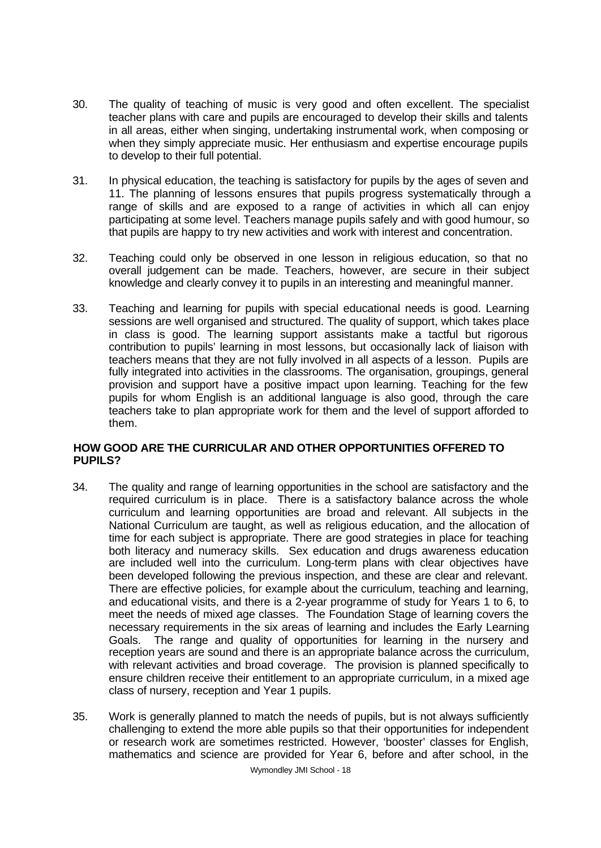- 30. The quality of teaching of music is very good and often excellent. The specialist teacher plans with care and pupils are encouraged to develop their skills and talents in all areas, either when singing, undertaking instrumental work, when composing or when they simply appreciate music. Her enthusiasm and expertise encourage pupils to develop to their full potential.
- 31. In physical education, the teaching is satisfactory for pupils by the ages of seven and 11. The planning of lessons ensures that pupils progress systematically through a range of skills and are exposed to a range of activities in which all can enjoy participating at some level. Teachers manage pupils safely and with good humour, so that pupils are happy to try new activities and work with interest and concentration.
- 32. Teaching could only be observed in one lesson in religious education, so that no overall judgement can be made. Teachers, however, are secure in their subject knowledge and clearly convey it to pupils in an interesting and meaningful manner.
- 33. Teaching and learning for pupils with special educational needs is good. Learning sessions are well organised and structured. The quality of support, which takes place in class is good. The learning support assistants make a tactful but rigorous contribution to pupils' learning in most lessons, but occasionally lack of liaison with teachers means that they are not fully involved in all aspects of a lesson. Pupils are fully integrated into activities in the classrooms. The organisation, groupings, general provision and support have a positive impact upon learning. Teaching for the few pupils for whom English is an additional language is also good, through the care teachers take to plan appropriate work for them and the level of support afforded to them.

# **HOW GOOD ARE THE CURRICULAR AND OTHER OPPORTUNITIES OFFERED TO PUPILS?**

- 34. The quality and range of learning opportunities in the school are satisfactory and the required curriculum is in place. There is a satisfactory balance across the whole curriculum and learning opportunities are broad and relevant. All subjects in the National Curriculum are taught, as well as religious education, and the allocation of time for each subject is appropriate. There are good strategies in place for teaching both literacy and numeracy skills. Sex education and drugs awareness education are included well into the curriculum. Long-term plans with clear objectives have been developed following the previous inspection, and these are clear and relevant. There are effective policies, for example about the curriculum, teaching and learning, and educational visits, and there is a 2-year programme of study for Years 1 to 6, to meet the needs of mixed age classes. The Foundation Stage of learning covers the necessary requirements in the six areas of learning and includes the Early Learning Goals. The range and quality of opportunities for learning in the nursery and reception years are sound and there is an appropriate balance across the curriculum, with relevant activities and broad coverage. The provision is planned specifically to ensure children receive their entitlement to an appropriate curriculum, in a mixed age class of nursery, reception and Year 1 pupils.
- 35. Work is generally planned to match the needs of pupils, but is not always sufficiently challenging to extend the more able pupils so that their opportunities for independent or research work are sometimes restricted. However, 'booster' classes for English, mathematics and science are provided for Year 6, before and after school, in the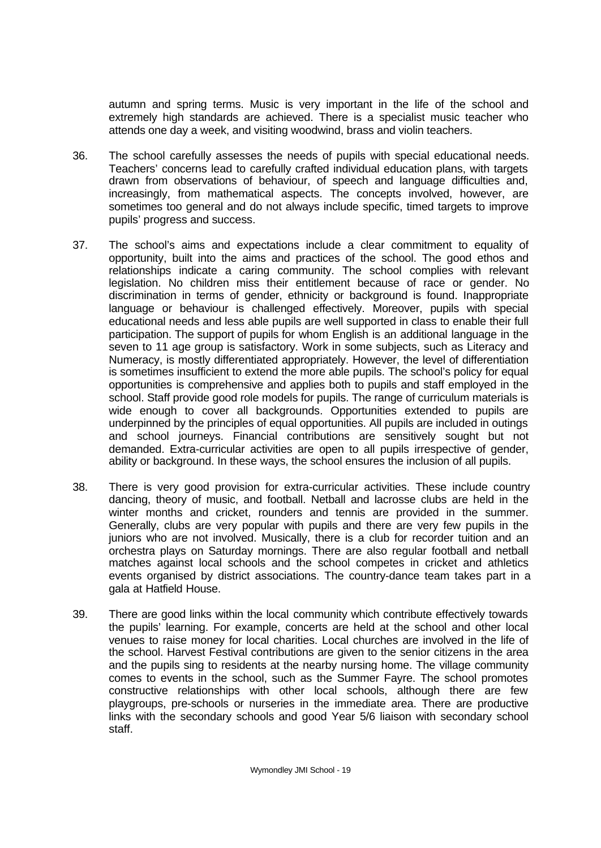autumn and spring terms. Music is very important in the life of the school and extremely high standards are achieved. There is a specialist music teacher who attends one day a week, and visiting woodwind, brass and violin teachers.

- 36. The school carefully assesses the needs of pupils with special educational needs. Teachers' concerns lead to carefully crafted individual education plans, with targets drawn from observations of behaviour, of speech and language difficulties and, increasingly, from mathematical aspects. The concepts involved, however, are sometimes too general and do not always include specific, timed targets to improve pupils' progress and success.
- 37. The school's aims and expectations include a clear commitment to equality of opportunity, built into the aims and practices of the school. The good ethos and relationships indicate a caring community. The school complies with relevant legislation. No children miss their entitlement because of race or gender. No discrimination in terms of gender, ethnicity or background is found. Inappropriate language or behaviour is challenged effectively. Moreover, pupils with special educational needs and less able pupils are well supported in class to enable their full participation. The support of pupils for whom English is an additional language in the seven to 11 age group is satisfactory. Work in some subjects, such as Literacy and Numeracy, is mostly differentiated appropriately. However, the level of differentiation is sometimes insufficient to extend the more able pupils. The school's policy for equal opportunities is comprehensive and applies both to pupils and staff employed in the school. Staff provide good role models for pupils. The range of curriculum materials is wide enough to cover all backgrounds. Opportunities extended to pupils are underpinned by the principles of equal opportunities. All pupils are included in outings and school journeys. Financial contributions are sensitively sought but not demanded. Extra-curricular activities are open to all pupils irrespective of gender, ability or background. In these ways, the school ensures the inclusion of all pupils.
- 38. There is very good provision for extra-curricular activities. These include country dancing, theory of music, and football. Netball and lacrosse clubs are held in the winter months and cricket, rounders and tennis are provided in the summer. Generally, clubs are very popular with pupils and there are very few pupils in the juniors who are not involved. Musically, there is a club for recorder tuition and an orchestra plays on Saturday mornings. There are also regular football and netball matches against local schools and the school competes in cricket and athletics events organised by district associations. The country-dance team takes part in a gala at Hatfield House.
- 39. There are good links within the local community which contribute effectively towards the pupils' learning. For example, concerts are held at the school and other local venues to raise money for local charities. Local churches are involved in the life of the school. Harvest Festival contributions are given to the senior citizens in the area and the pupils sing to residents at the nearby nursing home. The village community comes to events in the school, such as the Summer Fayre. The school promotes constructive relationships with other local schools, although there are few playgroups, pre-schools or nurseries in the immediate area. There are productive links with the secondary schools and good Year 5/6 liaison with secondary school staff.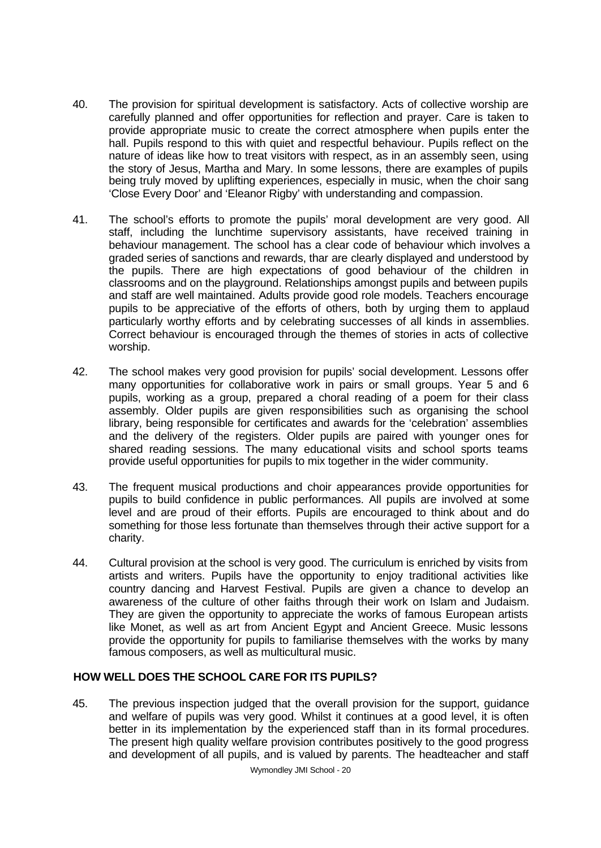- 40. The provision for spiritual development is satisfactory. Acts of collective worship are carefully planned and offer opportunities for reflection and prayer. Care is taken to provide appropriate music to create the correct atmosphere when pupils enter the hall. Pupils respond to this with quiet and respectful behaviour. Pupils reflect on the nature of ideas like how to treat visitors with respect, as in an assembly seen, using the story of Jesus, Martha and Mary. In some lessons, there are examples of pupils being truly moved by uplifting experiences, especially in music, when the choir sang 'Close Every Door' and 'Eleanor Rigby' with understanding and compassion.
- 41. The school's efforts to promote the pupils' moral development are very good. All staff, including the lunchtime supervisory assistants, have received training in behaviour management. The school has a clear code of behaviour which involves a graded series of sanctions and rewards, thar are clearly displayed and understood by the pupils. There are high expectations of good behaviour of the children in classrooms and on the playground. Relationships amongst pupils and between pupils and staff are well maintained. Adults provide good role models. Teachers encourage pupils to be appreciative of the efforts of others, both by urging them to applaud particularly worthy efforts and by celebrating successes of all kinds in assemblies. Correct behaviour is encouraged through the themes of stories in acts of collective worship.
- 42. The school makes very good provision for pupils' social development. Lessons offer many opportunities for collaborative work in pairs or small groups. Year 5 and 6 pupils, working as a group, prepared a choral reading of a poem for their class assembly. Older pupils are given responsibilities such as organising the school library, being responsible for certificates and awards for the 'celebration' assemblies and the delivery of the registers. Older pupils are paired with younger ones for shared reading sessions. The many educational visits and school sports teams provide useful opportunities for pupils to mix together in the wider community.
- 43. The frequent musical productions and choir appearances provide opportunities for pupils to build confidence in public performances. All pupils are involved at some level and are proud of their efforts. Pupils are encouraged to think about and do something for those less fortunate than themselves through their active support for a charity.
- 44. Cultural provision at the school is very good. The curriculum is enriched by visits from artists and writers. Pupils have the opportunity to enjoy traditional activities like country dancing and Harvest Festival. Pupils are given a chance to develop an awareness of the culture of other faiths through their work on Islam and Judaism. They are given the opportunity to appreciate the works of famous European artists like Monet, as well as art from Ancient Egypt and Ancient Greece. Music lessons provide the opportunity for pupils to familiarise themselves with the works by many famous composers, as well as multicultural music.

## **HOW WELL DOES THE SCHOOL CARE FOR ITS PUPILS?**

45. The previous inspection judged that the overall provision for the support, guidance and welfare of pupils was very good. Whilst it continues at a good level, it is often better in its implementation by the experienced staff than in its formal procedures. The present high quality welfare provision contributes positively to the good progress and development of all pupils, and is valued by parents. The headteacher and staff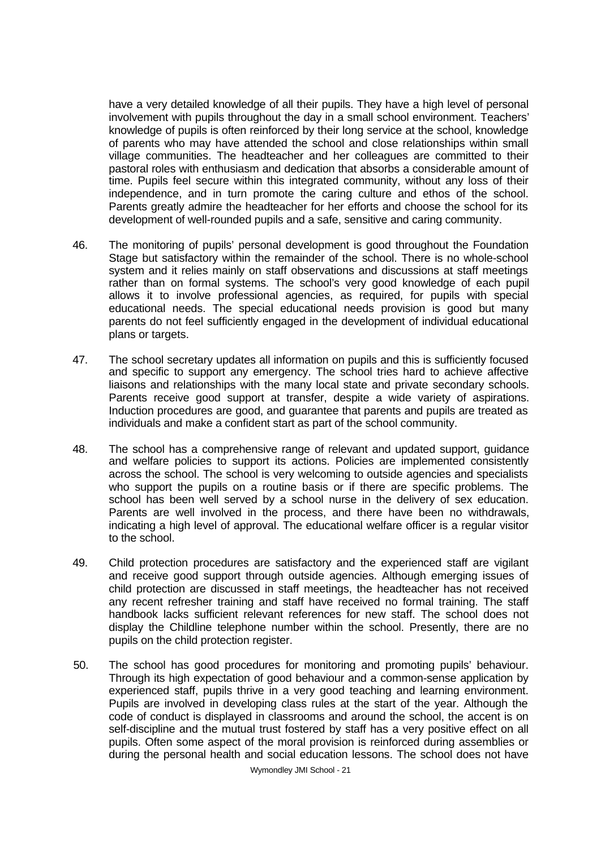have a very detailed knowledge of all their pupils. They have a high level of personal involvement with pupils throughout the day in a small school environment. Teachers' knowledge of pupils is often reinforced by their long service at the school, knowledge of parents who may have attended the school and close relationships within small village communities. The headteacher and her colleagues are committed to their pastoral roles with enthusiasm and dedication that absorbs a considerable amount of time. Pupils feel secure within this integrated community, without any loss of their independence, and in turn promote the caring culture and ethos of the school. Parents greatly admire the headteacher for her efforts and choose the school for its development of well-rounded pupils and a safe, sensitive and caring community.

- 46. The monitoring of pupils' personal development is good throughout the Foundation Stage but satisfactory within the remainder of the school. There is no whole-school system and it relies mainly on staff observations and discussions at staff meetings rather than on formal systems. The school's very good knowledge of each pupil allows it to involve professional agencies, as required, for pupils with special educational needs. The special educational needs provision is good but many parents do not feel sufficiently engaged in the development of individual educational plans or targets.
- 47. The school secretary updates all information on pupils and this is sufficiently focused and specific to support any emergency. The school tries hard to achieve affective liaisons and relationships with the many local state and private secondary schools. Parents receive good support at transfer, despite a wide variety of aspirations. Induction procedures are good, and guarantee that parents and pupils are treated as individuals and make a confident start as part of the school community.
- 48. The school has a comprehensive range of relevant and updated support, guidance and welfare policies to support its actions. Policies are implemented consistently across the school. The school is very welcoming to outside agencies and specialists who support the pupils on a routine basis or if there are specific problems. The school has been well served by a school nurse in the delivery of sex education. Parents are well involved in the process, and there have been no withdrawals, indicating a high level of approval. The educational welfare officer is a regular visitor to the school.
- 49. Child protection procedures are satisfactory and the experienced staff are vigilant and receive good support through outside agencies. Although emerging issues of child protection are discussed in staff meetings, the headteacher has not received any recent refresher training and staff have received no formal training. The staff handbook lacks sufficient relevant references for new staff. The school does not display the Childline telephone number within the school. Presently, there are no pupils on the child protection register.
- 50. The school has good procedures for monitoring and promoting pupils' behaviour. Through its high expectation of good behaviour and a common-sense application by experienced staff, pupils thrive in a very good teaching and learning environment. Pupils are involved in developing class rules at the start of the year. Although the code of conduct is displayed in classrooms and around the school, the accent is on self-discipline and the mutual trust fostered by staff has a very positive effect on all pupils. Often some aspect of the moral provision is reinforced during assemblies or during the personal health and social education lessons. The school does not have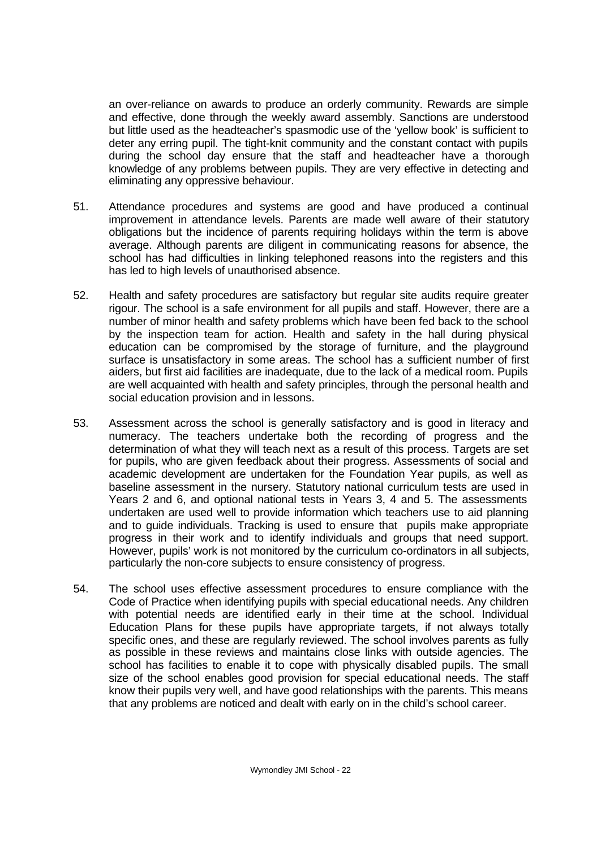an over-reliance on awards to produce an orderly community. Rewards are simple and effective, done through the weekly award assembly. Sanctions are understood but little used as the headteacher's spasmodic use of the 'yellow book' is sufficient to deter any erring pupil. The tight-knit community and the constant contact with pupils during the school day ensure that the staff and headteacher have a thorough knowledge of any problems between pupils. They are very effective in detecting and eliminating any oppressive behaviour.

- 51. Attendance procedures and systems are good and have produced a continual improvement in attendance levels. Parents are made well aware of their statutory obligations but the incidence of parents requiring holidays within the term is above average. Although parents are diligent in communicating reasons for absence, the school has had difficulties in linking telephoned reasons into the registers and this has led to high levels of unauthorised absence.
- 52. Health and safety procedures are satisfactory but regular site audits require greater rigour. The school is a safe environment for all pupils and staff. However, there are a number of minor health and safety problems which have been fed back to the school by the inspection team for action. Health and safety in the hall during physical education can be compromised by the storage of furniture, and the playground surface is unsatisfactory in some areas. The school has a sufficient number of first aiders, but first aid facilities are inadequate, due to the lack of a medical room. Pupils are well acquainted with health and safety principles, through the personal health and social education provision and in lessons.
- 53. Assessment across the school is generally satisfactory and is good in literacy and numeracy. The teachers undertake both the recording of progress and the determination of what they will teach next as a result of this process. Targets are set for pupils, who are given feedback about their progress. Assessments of social and academic development are undertaken for the Foundation Year pupils, as well as baseline assessment in the nursery. Statutory national curriculum tests are used in Years 2 and 6, and optional national tests in Years 3, 4 and 5. The assessments undertaken are used well to provide information which teachers use to aid planning and to guide individuals. Tracking is used to ensure that pupils make appropriate progress in their work and to identify individuals and groups that need support. However, pupils' work is not monitored by the curriculum co-ordinators in all subjects, particularly the non-core subjects to ensure consistency of progress.
- 54. The school uses effective assessment procedures to ensure compliance with the Code of Practice when identifying pupils with special educational needs. Any children with potential needs are identified early in their time at the school. Individual Education Plans for these pupils have appropriate targets, if not always totally specific ones, and these are regularly reviewed. The school involves parents as fully as possible in these reviews and maintains close links with outside agencies. The school has facilities to enable it to cope with physically disabled pupils. The small size of the school enables good provision for special educational needs. The staff know their pupils very well, and have good relationships with the parents. This means that any problems are noticed and dealt with early on in the child's school career.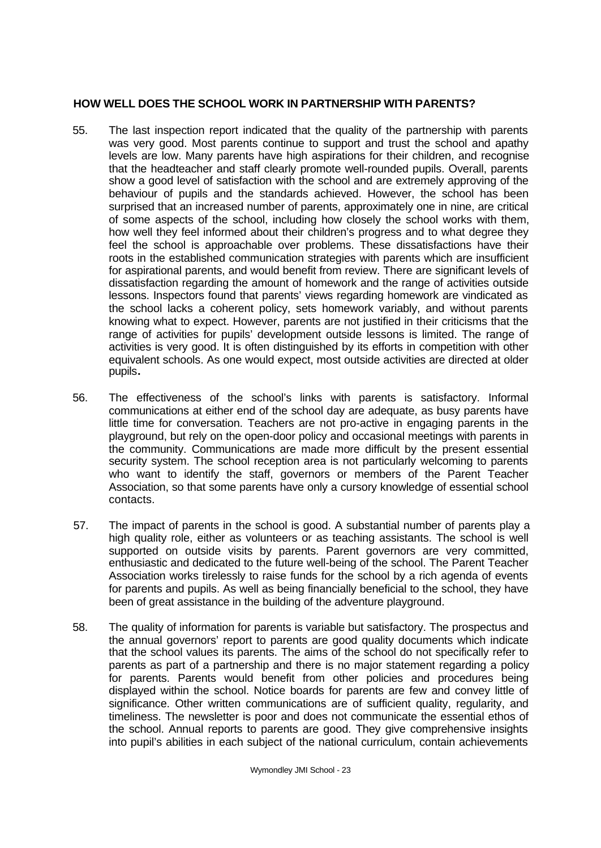# **HOW WELL DOES THE SCHOOL WORK IN PARTNERSHIP WITH PARENTS?**

- 55. The last inspection report indicated that the quality of the partnership with parents was very good. Most parents continue to support and trust the school and apathy levels are low. Many parents have high aspirations for their children, and recognise that the headteacher and staff clearly promote well-rounded pupils. Overall, parents show a good level of satisfaction with the school and are extremely approving of the behaviour of pupils and the standards achieved. However, the school has been surprised that an increased number of parents, approximately one in nine, are critical of some aspects of the school, including how closely the school works with them, how well they feel informed about their children's progress and to what degree they feel the school is approachable over problems. These dissatisfactions have their roots in the established communication strategies with parents which are insufficient for aspirational parents, and would benefit from review. There are significant levels of dissatisfaction regarding the amount of homework and the range of activities outside lessons. Inspectors found that parents' views regarding homework are vindicated as the school lacks a coherent policy, sets homework variably, and without parents knowing what to expect. However, parents are not justified in their criticisms that the range of activities for pupils' development outside lessons is limited. The range of activities is very good. It is often distinguished by its efforts in competition with other equivalent schools. As one would expect, most outside activities are directed at older pupils**.**
- 56. The effectiveness of the school's links with parents is satisfactory. Informal communications at either end of the school day are adequate, as busy parents have little time for conversation. Teachers are not pro-active in engaging parents in the playground, but rely on the open-door policy and occasional meetings with parents in the community. Communications are made more difficult by the present essential security system. The school reception area is not particularly welcoming to parents who want to identify the staff, governors or members of the Parent Teacher Association, so that some parents have only a cursory knowledge of essential school contacts.
- 57. The impact of parents in the school is good. A substantial number of parents play a high quality role, either as volunteers or as teaching assistants. The school is well supported on outside visits by parents. Parent governors are very committed, enthusiastic and dedicated to the future well-being of the school. The Parent Teacher Association works tirelessly to raise funds for the school by a rich agenda of events for parents and pupils. As well as being financially beneficial to the school, they have been of great assistance in the building of the adventure playground.
- 58. The quality of information for parents is variable but satisfactory. The prospectus and the annual governors' report to parents are good quality documents which indicate that the school values its parents. The aims of the school do not specifically refer to parents as part of a partnership and there is no major statement regarding a policy for parents. Parents would benefit from other policies and procedures being displayed within the school. Notice boards for parents are few and convey little of significance. Other written communications are of sufficient quality, regularity, and timeliness. The newsletter is poor and does not communicate the essential ethos of the school. Annual reports to parents are good. They give comprehensive insights into pupil's abilities in each subject of the national curriculum, contain achievements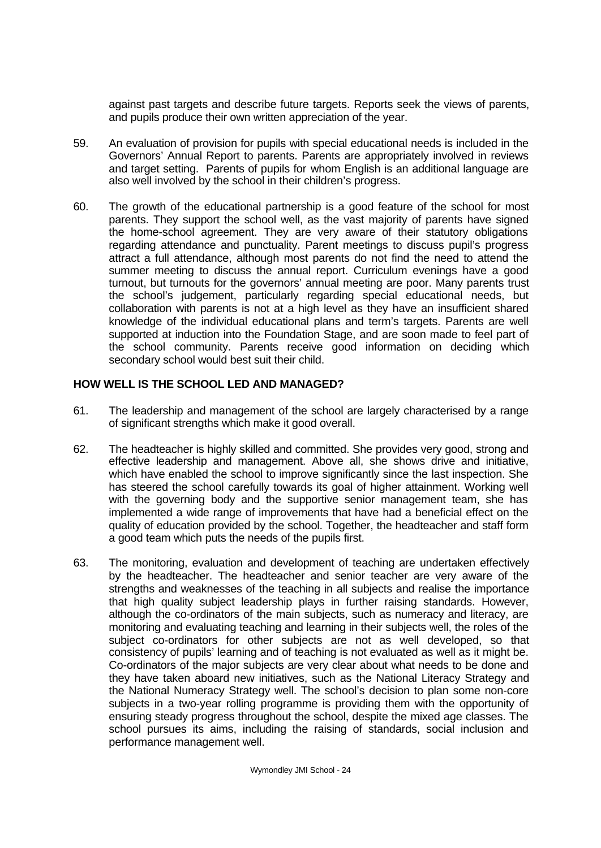against past targets and describe future targets. Reports seek the views of parents, and pupils produce their own written appreciation of the year.

- 59. An evaluation of provision for pupils with special educational needs is included in the Governors' Annual Report to parents. Parents are appropriately involved in reviews and target setting. Parents of pupils for whom English is an additional language are also well involved by the school in their children's progress.
- 60. The growth of the educational partnership is a good feature of the school for most parents. They support the school well, as the vast majority of parents have signed the home-school agreement. They are very aware of their statutory obligations regarding attendance and punctuality. Parent meetings to discuss pupil's progress attract a full attendance, although most parents do not find the need to attend the summer meeting to discuss the annual report. Curriculum evenings have a good turnout, but turnouts for the governors' annual meeting are poor. Many parents trust the school's judgement, particularly regarding special educational needs, but collaboration with parents is not at a high level as they have an insufficient shared knowledge of the individual educational plans and term's targets. Parents are well supported at induction into the Foundation Stage, and are soon made to feel part of the school community. Parents receive good information on deciding which secondary school would best suit their child.

# **HOW WELL IS THE SCHOOL LED AND MANAGED?**

- 61. The leadership and management of the school are largely characterised by a range of significant strengths which make it good overall.
- 62. The headteacher is highly skilled and committed. She provides very good, strong and effective leadership and management. Above all, she shows drive and initiative, which have enabled the school to improve significantly since the last inspection. She has steered the school carefully towards its goal of higher attainment. Working well with the governing body and the supportive senior management team, she has implemented a wide range of improvements that have had a beneficial effect on the quality of education provided by the school. Together, the headteacher and staff form a good team which puts the needs of the pupils first.
- 63. The monitoring, evaluation and development of teaching are undertaken effectively by the headteacher. The headteacher and senior teacher are very aware of the strengths and weaknesses of the teaching in all subjects and realise the importance that high quality subject leadership plays in further raising standards. However, although the co-ordinators of the main subjects, such as numeracy and literacy, are monitoring and evaluating teaching and learning in their subjects well, the roles of the subject co-ordinators for other subjects are not as well developed, so that consistency of pupils' learning and of teaching is not evaluated as well as it might be. Co-ordinators of the major subjects are very clear about what needs to be done and they have taken aboard new initiatives, such as the National Literacy Strategy and the National Numeracy Strategy well. The school's decision to plan some non-core subjects in a two-year rolling programme is providing them with the opportunity of ensuring steady progress throughout the school, despite the mixed age classes. The school pursues its aims, including the raising of standards, social inclusion and performance management well.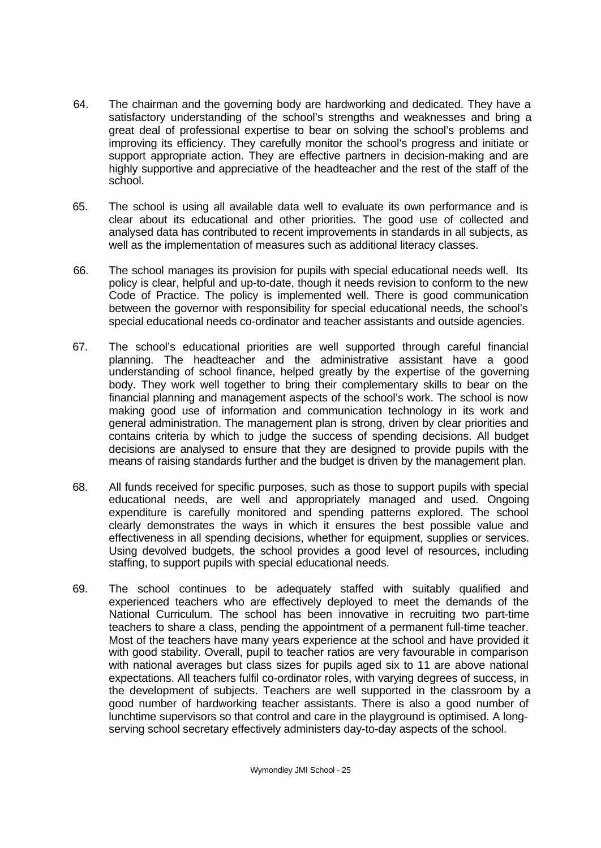- 64. The chairman and the governing body are hardworking and dedicated. They have a satisfactory understanding of the school's strengths and weaknesses and bring a great deal of professional expertise to bear on solving the school's problems and improving its efficiency. They carefully monitor the school's progress and initiate or support appropriate action. They are effective partners in decision-making and are highly supportive and appreciative of the headteacher and the rest of the staff of the school.
- 65. The school is using all available data well to evaluate its own performance and is clear about its educational and other priorities. The good use of collected and analysed data has contributed to recent improvements in standards in all subjects, as well as the implementation of measures such as additional literacy classes.
- 66. The school manages its provision for pupils with special educational needs well. Its policy is clear, helpful and up-to-date, though it needs revision to conform to the new Code of Practice. The policy is implemented well. There is good communication between the governor with responsibility for special educational needs, the school's special educational needs co-ordinator and teacher assistants and outside agencies.
- 67. The school's educational priorities are well supported through careful financial planning. The headteacher and the administrative assistant have a good understanding of school finance, helped greatly by the expertise of the governing body. They work well together to bring their complementary skills to bear on the financial planning and management aspects of the school's work. The school is now making good use of information and communication technology in its work and general administration. The management plan is strong, driven by clear priorities and contains criteria by which to judge the success of spending decisions. All budget decisions are analysed to ensure that they are designed to provide pupils with the means of raising standards further and the budget is driven by the management plan.
- 68. All funds received for specific purposes, such as those to support pupils with special educational needs, are well and appropriately managed and used. Ongoing expenditure is carefully monitored and spending patterns explored. The school clearly demonstrates the ways in which it ensures the best possible value and effectiveness in all spending decisions, whether for equipment, supplies or services. Using devolved budgets, the school provides a good level of resources, including staffing, to support pupils with special educational needs.
- 69. The school continues to be adequately staffed with suitably qualified and experienced teachers who are effectively deployed to meet the demands of the National Curriculum. The school has been innovative in recruiting two part-time teachers to share a class, pending the appointment of a permanent full-time teacher. Most of the teachers have many years experience at the school and have provided it with good stability. Overall, pupil to teacher ratios are very favourable in comparison with national averages but class sizes for pupils aged six to 11 are above national expectations. All teachers fulfil co-ordinator roles, with varying degrees of success, in the development of subjects. Teachers are well supported in the classroom by a good number of hardworking teacher assistants. There is also a good number of lunchtime supervisors so that control and care in the playground is optimised. A longserving school secretary effectively administers day-to-day aspects of the school.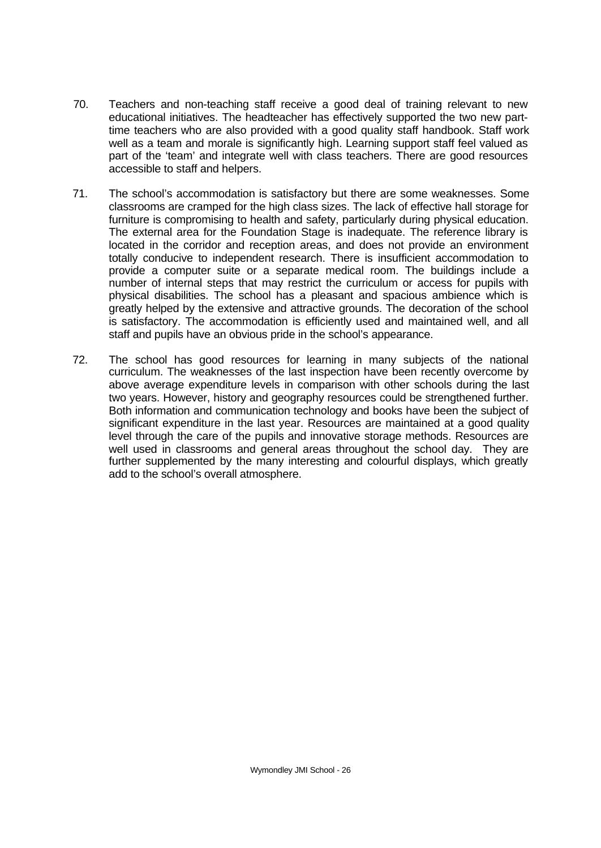- 70. Teachers and non-teaching staff receive a good deal of training relevant to new educational initiatives. The headteacher has effectively supported the two new parttime teachers who are also provided with a good quality staff handbook. Staff work well as a team and morale is significantly high. Learning support staff feel valued as part of the 'team' and integrate well with class teachers. There are good resources accessible to staff and helpers.
- 71. The school's accommodation is satisfactory but there are some weaknesses. Some classrooms are cramped for the high class sizes. The lack of effective hall storage for furniture is compromising to health and safety, particularly during physical education. The external area for the Foundation Stage is inadequate. The reference library is located in the corridor and reception areas, and does not provide an environment totally conducive to independent research. There is insufficient accommodation to provide a computer suite or a separate medical room. The buildings include a number of internal steps that may restrict the curriculum or access for pupils with physical disabilities. The school has a pleasant and spacious ambience which is greatly helped by the extensive and attractive grounds. The decoration of the school is satisfactory. The accommodation is efficiently used and maintained well, and all staff and pupils have an obvious pride in the school's appearance.
- 72. The school has good resources for learning in many subjects of the national curriculum. The weaknesses of the last inspection have been recently overcome by above average expenditure levels in comparison with other schools during the last two years. However, history and geography resources could be strengthened further. Both information and communication technology and books have been the subject of significant expenditure in the last year. Resources are maintained at a good quality level through the care of the pupils and innovative storage methods. Resources are well used in classrooms and general areas throughout the school day. They are further supplemented by the many interesting and colourful displays, which greatly add to the school's overall atmosphere.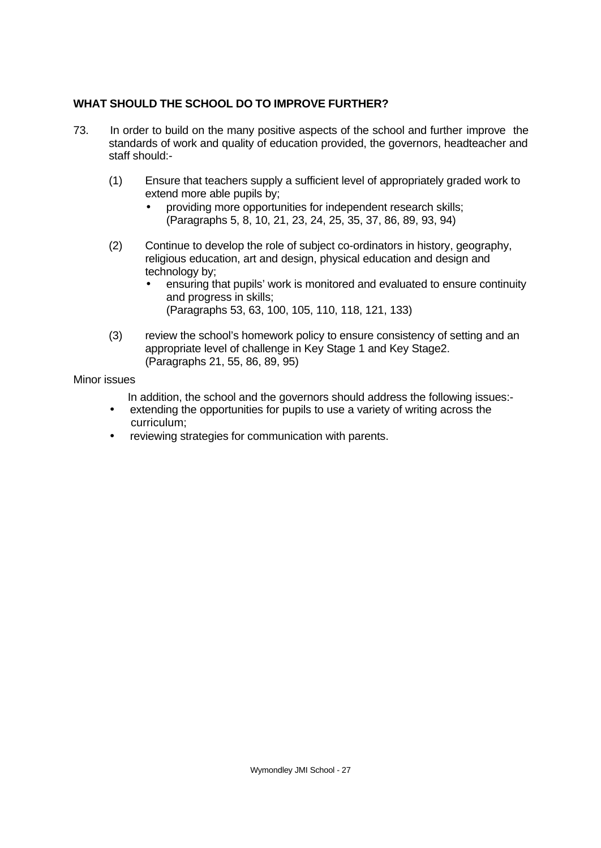# **WHAT SHOULD THE SCHOOL DO TO IMPROVE FURTHER?**

- 73. In order to build on the many positive aspects of the school and further improve the standards of work and quality of education provided, the governors, headteacher and staff should:-
	- (1) Ensure that teachers supply a sufficient level of appropriately graded work to extend more able pupils by;
		- providing more opportunities for independent research skills; (Paragraphs 5, 8, 10, 21, 23, 24, 25, 35, 37, 86, 89, 93, 94)
	- (2) Continue to develop the role of subject co-ordinators in history, geography, religious education, art and design, physical education and design and technology by;
		- ensuring that pupils' work is monitored and evaluated to ensure continuity and progress in skills; (Paragraphs 53, 63, 100, 105, 110, 118, 121, 133)
	- (3) review the school's homework policy to ensure consistency of setting and an appropriate level of challenge in Key Stage 1 and Key Stage2. (Paragraphs 21, 55, 86, 89, 95)

### Minor issues

In addition, the school and the governors should address the following issues:-

- extending the opportunities for pupils to use a variety of writing across the curriculum;
- reviewing strategies for communication with parents.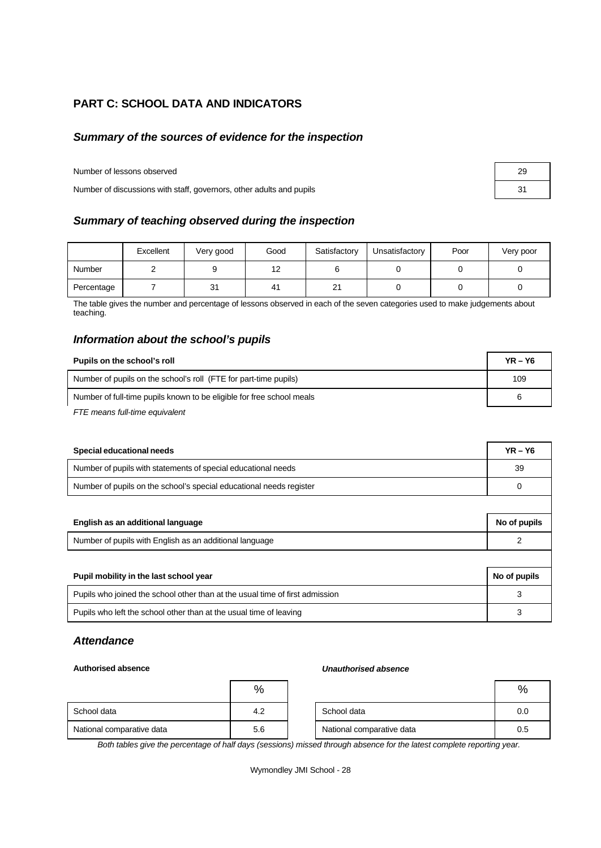# **PART C: SCHOOL DATA AND INDICATORS**

## *Summary of the sources of evidence for the inspection*

Number of lessons observed 29

Number of discussions with staff, governors, other adults and pupils 31

## *Summary of teaching observed during the inspection*

|            | Excellent | Very good | Good | Satisfactory           | Unsatisfactory | Poor | Very poor |
|------------|-----------|-----------|------|------------------------|----------------|------|-----------|
| Number     |           |           | 12   |                        |                |      |           |
| Percentage |           | 31        | 41   | $^{\circ}$<br><u>z</u> |                |      |           |

The table gives the number and percentage of lessons observed in each of the seven categories used to make judgements about teaching.

# *Information about the school's pupils*

| Pupils on the school's roll                                           | $YR - Y6$ |
|-----------------------------------------------------------------------|-----------|
| Number of pupils on the school's roll (FTE for part-time pupils)      | 109       |
| Number of full-time pupils known to be eligible for free school meals |           |
| FTE means full-time equivalent                                        |           |

| Special educational needs                                                    | $YR - Y6$    |  |  |
|------------------------------------------------------------------------------|--------------|--|--|
| Number of pupils with statements of special educational needs                | 39           |  |  |
| Number of pupils on the school's special educational needs register          |              |  |  |
|                                                                              |              |  |  |
| English as an additional language                                            | No of pupils |  |  |
| Number of pupils with English as an additional language                      |              |  |  |
|                                                                              |              |  |  |
| Pupil mobility in the last school year                                       | No of pupils |  |  |
| Pupils who joined the school other than at the usual time of first admission | 3            |  |  |
| Pupils who left the school other than at the usual time of leaving           | 3            |  |  |

# *Attendance*

#### **Authorised absence** *Unauthorised absence*

|                           | %   |                           | %   |
|---------------------------|-----|---------------------------|-----|
| School data               | 4.2 | School data               | 0.0 |
| National comparative data | 5.6 | National comparative data | 0.5 |

*Both tables give the percentage of half days (sessions) missed through absence for the latest complete reporting year.*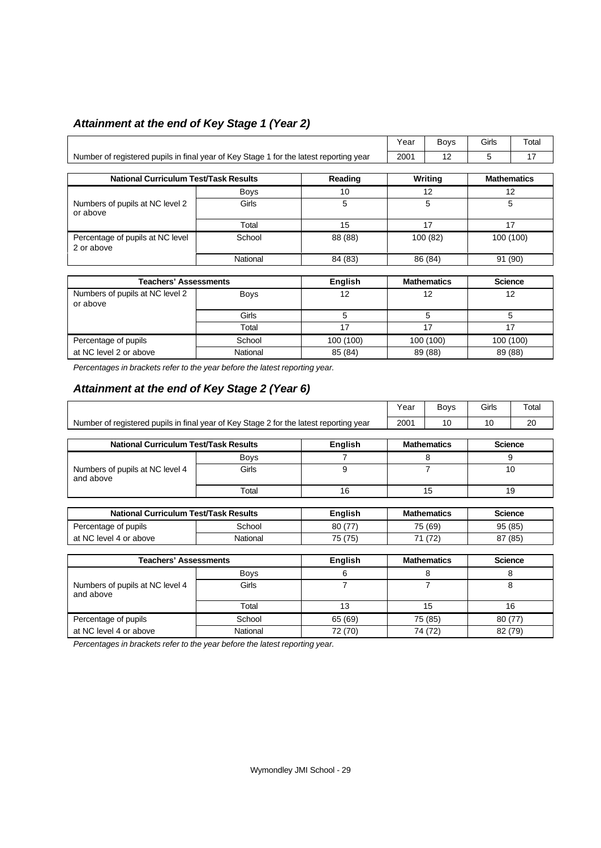# *Attainment at the end of Key Stage 1 (Year 2)*

|                                                                                        |             |           | Year    | Boys               | Girls          | Total              |
|----------------------------------------------------------------------------------------|-------------|-----------|---------|--------------------|----------------|--------------------|
| Number of registered pupils in final year of Key Stage 1 for the latest reporting year |             |           |         | 12                 | 5              | 17                 |
|                                                                                        |             |           |         |                    |                |                    |
| <b>National Curriculum Test/Task Results</b>                                           |             | Reading   |         | Writing            |                | <b>Mathematics</b> |
|                                                                                        | Boys        | 10        | 12      |                    | 12             |                    |
| Numbers of pupils at NC level 2<br>or above                                            | Girls       | 5         |         | 5                  |                | 5                  |
|                                                                                        | Total       | 15        |         | 17                 |                | 17                 |
| Percentage of pupils at NC level<br>2 or above                                         | School      | 88 (88)   |         | 100(82)            |                | 100 (100)          |
|                                                                                        | National    | 84 (83)   | 86 (84) |                    | 91 (90)        |                    |
|                                                                                        |             |           |         |                    |                |                    |
| <b>Teachers' Assessments</b>                                                           |             | English   |         | <b>Mathematics</b> | <b>Science</b> |                    |
| Numbers of pupils at NC level 2<br>or above                                            | <b>Boys</b> | 12        |         | 12                 |                | 12                 |
|                                                                                        | Girls       | 5         |         | 5                  |                | 5                  |
|                                                                                        | Total       | 17        |         | 17                 |                | 17                 |
| Percentage of pupils                                                                   | School      | 100 (100) |         | 100 (100)          |                | 100 (100)          |
| at NC level 2 or above                                                                 | National    | 85 (84)   |         | 89 (88)            | 89 (88)        |                    |

*Percentages in brackets refer to the year before the latest reporting year.*

# *Attainment at the end of Key Stage 2 (Year 6)*

|                                                                                        |             |                | Year | Boys               | Girls | Total          |
|----------------------------------------------------------------------------------------|-------------|----------------|------|--------------------|-------|----------------|
| Number of registered pupils in final year of Key Stage 2 for the latest reporting year |             |                | 2001 | 10                 | 10    | 20             |
|                                                                                        |             |                |      |                    |       |                |
| <b>National Curriculum Test/Task Results</b>                                           |             | English        |      | <b>Mathematics</b> |       | <b>Science</b> |
|                                                                                        | <b>Boys</b> | 7              |      | 8                  |       | 9              |
| Numbers of pupils at NC level 4<br>and above                                           | Girls       | 9              |      | 7                  |       | 10             |
|                                                                                        | Total       | 16             |      | 15                 |       | 19             |
|                                                                                        |             |                |      |                    |       |                |
| <b>National Curriculum Test/Task Results</b>                                           |             | <b>English</b> |      | <b>Mathematics</b> |       | <b>Science</b> |
| Percentage of pupils                                                                   | School      | 80 (77)        |      | 75 (69)            |       | 95 (85)        |
| at NC level 4 or above                                                                 | National    | 75 (75)        |      | 71 (72)            |       | 87 (85)        |
|                                                                                        |             |                |      |                    |       |                |
| <b>Teachers' Assessments</b>                                                           |             | English        |      | <b>Mathematics</b> |       | <b>Science</b> |
|                                                                                        | <b>Boys</b> | 6              |      | 8                  |       | 8              |
| Numbers of pupils at NC level 4<br>and above                                           | Girls       | 7              |      | 7                  |       | 8              |
|                                                                                        | Total       | 13             |      | 15                 |       | 16             |
| Percentage of pupils                                                                   | School      | 65 (69)        |      | 75 (85)            |       | 80 (77)        |
| at NC level 4 or above                                                                 | National    | 72 (70)        |      | 74 (72)            |       | 82 (79)        |

*Percentages in brackets refer to the year before the latest reporting year.*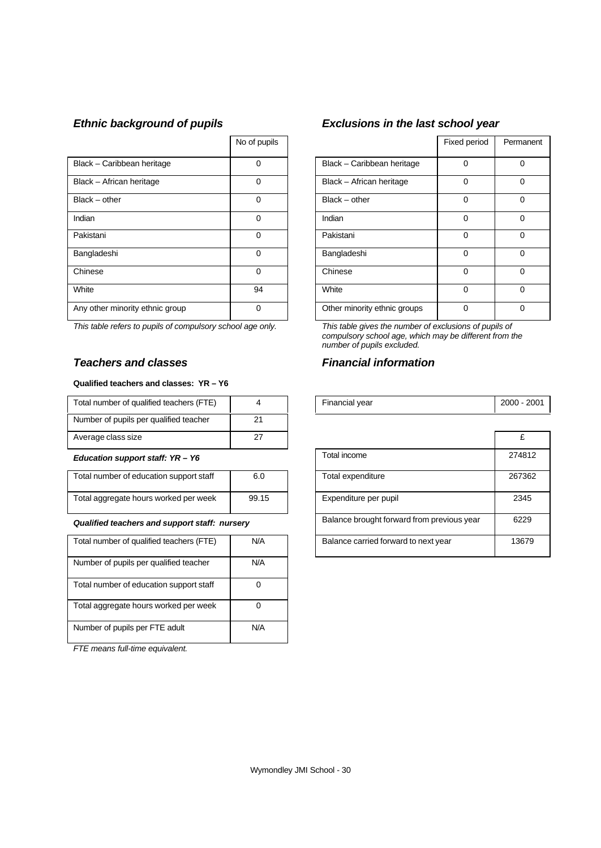|                                 | No of pupils |                              | Fixed period | Perma    |
|---------------------------------|--------------|------------------------------|--------------|----------|
| Black - Caribbean heritage      | 0            | Black - Caribbean heritage   | 0            | 0        |
| Black - African heritage        | 0            | Black - African heritage     | 0            | 0        |
| $Black - other$                 | 0            | $Black - other$              | 0            | 0        |
| Indian                          | 0            | Indian                       | 0            | $\Omega$ |
| Pakistani                       | 0            | Pakistani                    | 0            | $\Omega$ |
| Bangladeshi                     | 0            | Bangladeshi                  | 0            | 0        |
| Chinese                         | 0            | Chinese                      | $\Omega$     | $\Omega$ |
| White                           | 94           | White                        | 0            | $\Omega$ |
| Any other minority ethnic group | 0            | Other minority ethnic groups | 0            | $\Omega$ |

*This table refers to pupils of compulsory school age only. This table gives the number of exclusions of pupils of*

### *Teachers and classes Financial information*

#### **Qualified teachers and classes: YR – Y6**

| Total number of qualified teachers (FTE) |    | Financial year | $2000 -$ |
|------------------------------------------|----|----------------|----------|
| Number of pupils per qualified teacher   | 21 |                |          |
| Average class size                       | ∠  |                |          |

#### **Education support staff: YR - Y6**

| Total number of education support staff | 6.0   |
|-----------------------------------------|-------|
| Total aggregate hours worked per week   | 99.15 |
|                                         |       |

#### **Qualified teachers and support staff: nursery**

| Total number of qualified teachers (FTE) | N/A |
|------------------------------------------|-----|
| Number of pupils per qualified teacher   | N/A |
| Total number of education support staff  |     |
| Total aggregate hours worked per week    |     |
| Number of pupils per FTE adult           | N/A |

*FTE means full-time equivalent.*

# *Ethnic background of pupils Exclusions in the last school year*

| No of pupils |                              | Fixed period | Permanent |
|--------------|------------------------------|--------------|-----------|
| 0            | Black - Caribbean heritage   | $\Omega$     | 0         |
| 0            | Black - African heritage     | $\Omega$     | 0         |
| $\Omega$     | $Black - other$              | $\Omega$     | $\Omega$  |
| ი            | Indian                       | $\Omega$     | 0         |
| 0            | Pakistani                    | $\Omega$     | $\Omega$  |
| 0            | Bangladeshi                  | $\Omega$     | $\Omega$  |
| ሰ            | Chinese                      | $\Omega$     | $\Omega$  |
| 94           | White                        | $\Omega$     | $\Omega$  |
| 0            | Other minority ethnic groups | $\Omega$     | 0         |

*compulsory school age, which may be different from the number of pupils excluded.*

| <br>' otal<br>teachers<br>Οt<br>alltieu.<br>number<br>ــ<br>$\sim$ $\sim$<br>. |  | vear<br>- י<br>. iuldi 1<br>ıaı<br>- - - | 2000<br>ZUC.<br>- - |
|--------------------------------------------------------------------------------|--|------------------------------------------|---------------------|

| Average class size                            | 27    |                                            |        |
|-----------------------------------------------|-------|--------------------------------------------|--------|
| Education support staff: YR - Y6              |       | Total income                               | 274812 |
| Total number of education support staff       | 6.0   | Total expenditure                          | 267362 |
| Total aggregate hours worked per week         | 99.15 | Expenditure per pupil                      | 2345   |
| Qualified teachers and support staff: nursery |       | Balance brought forward from previous year | 6229   |
| Total number of qualified teachers (FTE)      | N/A   | Balance carried forward to next year       | 13679  |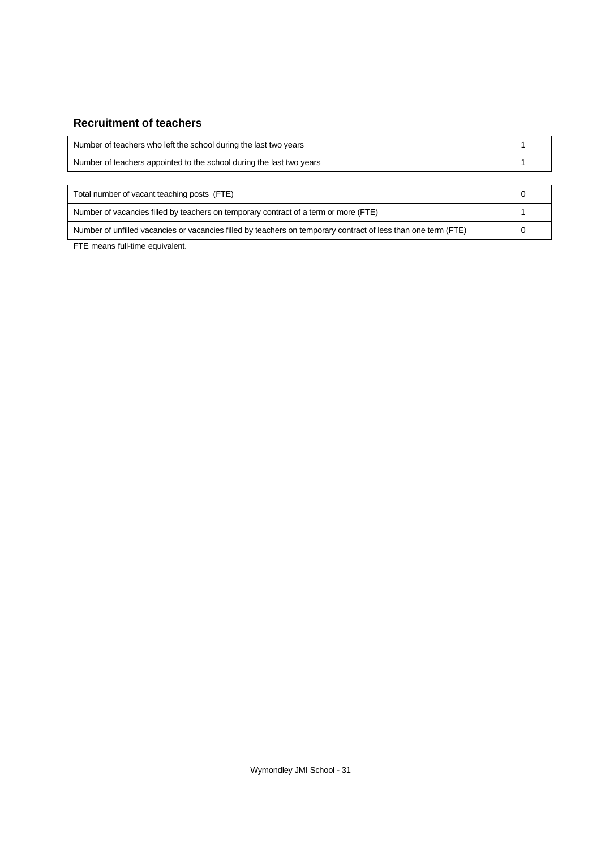# **Recruitment of teachers**

| Number of teachers who left the school during the last two years     |  |
|----------------------------------------------------------------------|--|
| Number of teachers appointed to the school during the last two years |  |
|                                                                      |  |

| Total number of vacant teaching posts (FTE)                                                                    |  |
|----------------------------------------------------------------------------------------------------------------|--|
| Number of vacancies filled by teachers on temporary contract of a term or more (FTE)                           |  |
| Number of unfilled vacancies or vacancies filled by teachers on temporary contract of less than one term (FTE) |  |

FTE means full-time equivalent.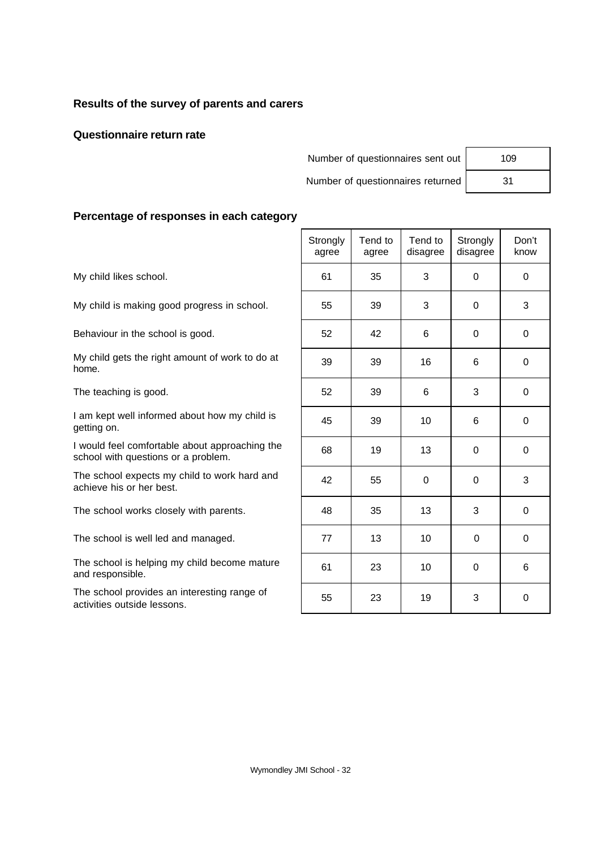# **Results of the survey of parents and carers**

## **Questionnaire return rate**

Number of questionnaires sent out

Number of questionnaires returned

Τ

| 109 |  |
|-----|--|
| 31  |  |

٦

 $\top$ 

 $\overline{\mathsf{T}}$ 

# **Percentage of responses in each category**

|                                                                                       | Strongly<br>agree | Tend to<br>agree | Tend to<br>disagree | Strongly<br>disagree | Don't<br>know |
|---------------------------------------------------------------------------------------|-------------------|------------------|---------------------|----------------------|---------------|
| My child likes school.                                                                | 61                | 35               | 3                   | $\Omega$             | $\mathbf 0$   |
| My child is making good progress in school.                                           | 55                | 39               | 3                   | $\Omega$             | 3             |
| Behaviour in the school is good.                                                      | 52                | 42               | 6                   | $\mathbf 0$          | $\mathbf 0$   |
| My child gets the right amount of work to do at<br>home.                              | 39                | 39               | 16                  | 6                    | $\mathbf 0$   |
| The teaching is good.                                                                 | 52                | 39               | 6                   | 3                    | 0             |
| I am kept well informed about how my child is<br>getting on.                          | 45                | 39               | 10                  | 6                    | 0             |
| I would feel comfortable about approaching the<br>school with questions or a problem. | 68                | 19               | 13                  | $\Omega$             | 0             |
| The school expects my child to work hard and<br>achieve his or her best.              | 42                | 55               | $\mathbf 0$         | $\mathbf 0$          | 3             |
| The school works closely with parents.                                                | 48                | 35               | 13                  | 3                    | $\mathbf 0$   |
| The school is well led and managed.                                                   | 77                | 13               | 10                  | $\Omega$             | 0             |
| The school is helping my child become mature<br>and responsible.                      | 61                | 23               | 10                  | $\Omega$             | 6             |
| The school provides an interesting range of                                           |                   |                  |                     |                      |               |

The school provides an interesting range of activities outside lessons. <sup>55</sup> <sup>23</sup> <sup>19</sup> <sup>3</sup> <sup>0</sup>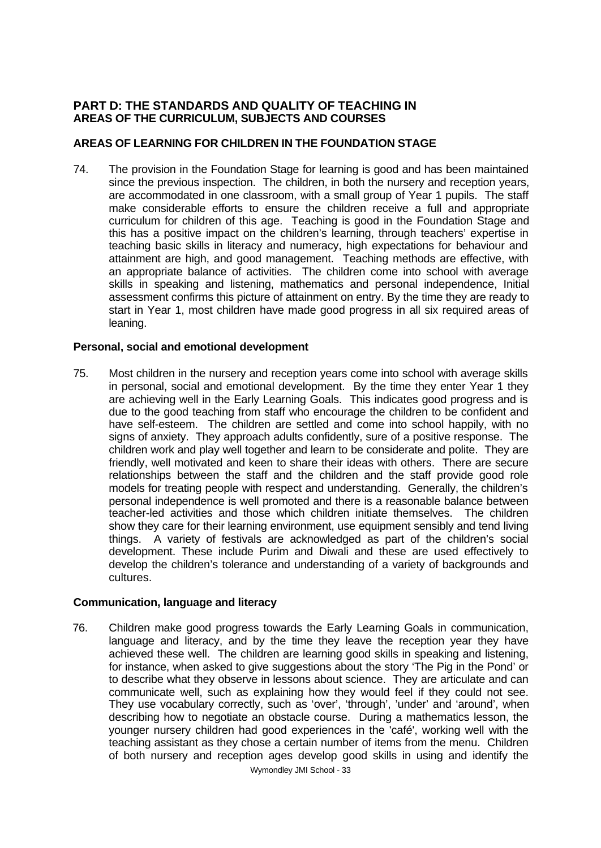## **PART D: THE STANDARDS AND QUALITY OF TEACHING IN AREAS OF THE CURRICULUM, SUBJECTS AND COURSES**

## **AREAS OF LEARNING FOR CHILDREN IN THE FOUNDATION STAGE**

74. The provision in the Foundation Stage for learning is good and has been maintained since the previous inspection. The children, in both the nursery and reception years, are accommodated in one classroom, with a small group of Year 1 pupils. The staff make considerable efforts to ensure the children receive a full and appropriate curriculum for children of this age. Teaching is good in the Foundation Stage and this has a positive impact on the children's learning, through teachers' expertise in teaching basic skills in literacy and numeracy, high expectations for behaviour and attainment are high, and good management. Teaching methods are effective, with an appropriate balance of activities. The children come into school with average skills in speaking and listening, mathematics and personal independence, Initial assessment confirms this picture of attainment on entry. By the time they are ready to start in Year 1, most children have made good progress in all six required areas of leaning.

## **Personal, social and emotional development**

75. Most children in the nursery and reception years come into school with average skills in personal, social and emotional development. By the time they enter Year 1 they are achieving well in the Early Learning Goals. This indicates good progress and is due to the good teaching from staff who encourage the children to be confident and have self-esteem. The children are settled and come into school happily, with no signs of anxiety. They approach adults confidently, sure of a positive response. The children work and play well together and learn to be considerate and polite. They are friendly, well motivated and keen to share their ideas with others. There are secure relationships between the staff and the children and the staff provide good role models for treating people with respect and understanding. Generally, the children's personal independence is well promoted and there is a reasonable balance between teacher-led activities and those which children initiate themselves. The children show they care for their learning environment, use equipment sensibly and tend living things. A variety of festivals are acknowledged as part of the children's social development. These include Purim and Diwali and these are used effectively to develop the children's tolerance and understanding of a variety of backgrounds and cultures.

## **Communication, language and literacy**

76. Children make good progress towards the Early Learning Goals in communication, language and literacy, and by the time they leave the reception year they have achieved these well. The children are learning good skills in speaking and listening, for instance, when asked to give suggestions about the story 'The Pig in the Pond' or to describe what they observe in lessons about science. They are articulate and can communicate well, such as explaining how they would feel if they could not see. They use vocabulary correctly, such as 'over', 'through', 'under' and 'around', when describing how to negotiate an obstacle course. During a mathematics lesson, the younger nursery children had good experiences in the 'café', working well with the teaching assistant as they chose a certain number of items from the menu. Children of both nursery and reception ages develop good skills in using and identify the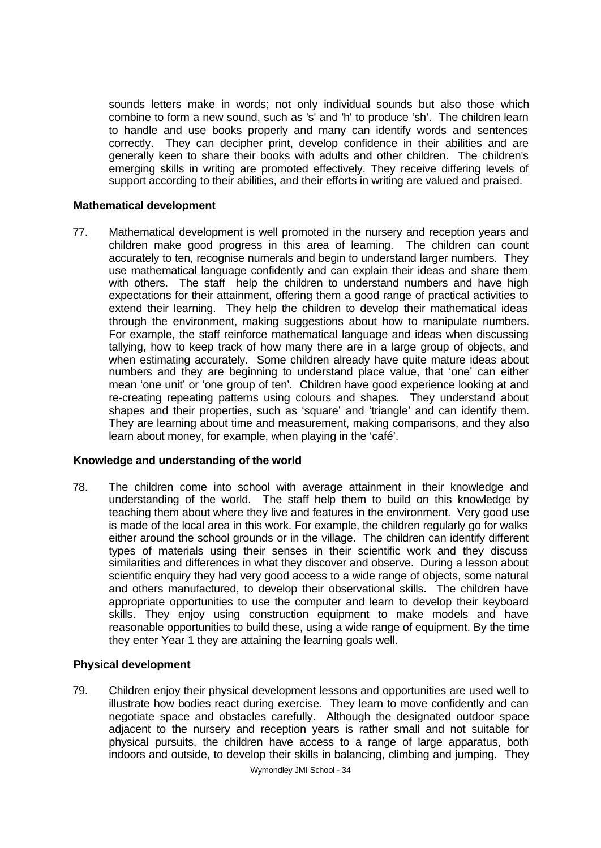sounds letters make in words; not only individual sounds but also those which combine to form a new sound, such as 's' and 'h' to produce 'sh'. The children learn to handle and use books properly and many can identify words and sentences correctly. They can decipher print, develop confidence in their abilities and are generally keen to share their books with adults and other children. The children's emerging skills in writing are promoted effectively. They receive differing levels of support according to their abilities, and their efforts in writing are valued and praised.

## **Mathematical development**

77. Mathematical development is well promoted in the nursery and reception years and children make good progress in this area of learning. The children can count accurately to ten, recognise numerals and begin to understand larger numbers. They use mathematical language confidently and can explain their ideas and share them with others. The staff help the children to understand numbers and have high expectations for their attainment, offering them a good range of practical activities to extend their learning. They help the children to develop their mathematical ideas through the environment, making suggestions about how to manipulate numbers. For example, the staff reinforce mathematical language and ideas when discussing tallying, how to keep track of how many there are in a large group of objects, and when estimating accurately. Some children already have quite mature ideas about numbers and they are beginning to understand place value, that 'one' can either mean 'one unit' or 'one group of ten'. Children have good experience looking at and re-creating repeating patterns using colours and shapes. They understand about shapes and their properties, such as 'square' and 'triangle' and can identify them. They are learning about time and measurement, making comparisons, and they also learn about money, for example, when playing in the 'café'.

# **Knowledge and understanding of the world**

78. The children come into school with average attainment in their knowledge and understanding of the world. The staff help them to build on this knowledge by teaching them about where they live and features in the environment. Very good use is made of the local area in this work. For example, the children regularly go for walks either around the school grounds or in the village. The children can identify different types of materials using their senses in their scientific work and they discuss similarities and differences in what they discover and observe. During a lesson about scientific enquiry they had very good access to a wide range of objects, some natural and others manufactured, to develop their observational skills. The children have appropriate opportunities to use the computer and learn to develop their keyboard skills. They enjoy using construction equipment to make models and have reasonable opportunities to build these, using a wide range of equipment. By the time they enter Year 1 they are attaining the learning goals well.

## **Physical development**

79. Children enjoy their physical development lessons and opportunities are used well to illustrate how bodies react during exercise. They learn to move confidently and can negotiate space and obstacles carefully. Although the designated outdoor space adjacent to the nursery and reception years is rather small and not suitable for physical pursuits, the children have access to a range of large apparatus, both indoors and outside, to develop their skills in balancing, climbing and jumping. They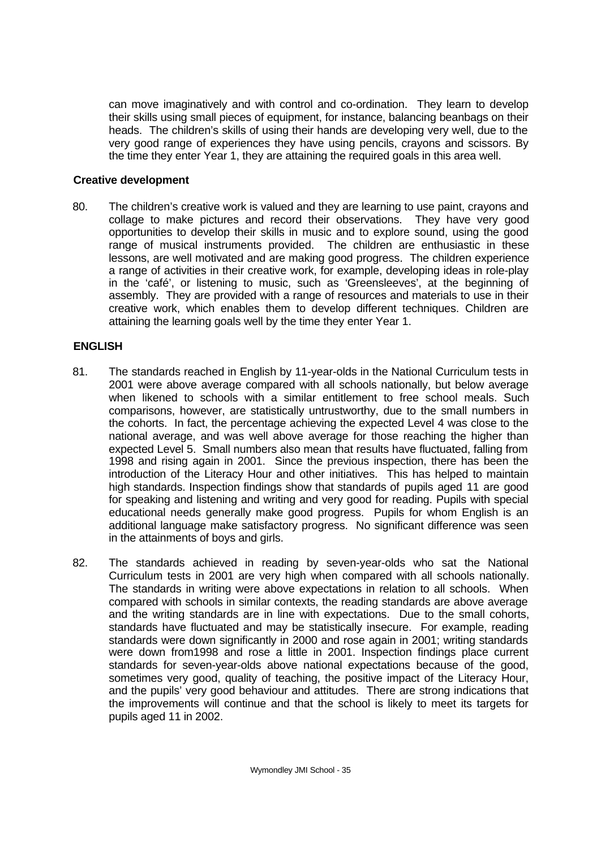can move imaginatively and with control and co-ordination. They learn to develop their skills using small pieces of equipment, for instance, balancing beanbags on their heads. The children's skills of using their hands are developing very well, due to the very good range of experiences they have using pencils, crayons and scissors. By the time they enter Year 1, they are attaining the required goals in this area well.

## **Creative development**

80. The children's creative work is valued and they are learning to use paint, crayons and collage to make pictures and record their observations. They have very good opportunities to develop their skills in music and to explore sound, using the good range of musical instruments provided. The children are enthusiastic in these lessons, are well motivated and are making good progress. The children experience a range of activities in their creative work, for example, developing ideas in role-play in the 'café', or listening to music, such as 'Greensleeves', at the beginning of assembly. They are provided with a range of resources and materials to use in their creative work, which enables them to develop different techniques. Children are attaining the learning goals well by the time they enter Year 1.

### **ENGLISH**

- 81. The standards reached in English by 11-year-olds in the National Curriculum tests in 2001 were above average compared with all schools nationally, but below average when likened to schools with a similar entitlement to free school meals. Such comparisons, however, are statistically untrustworthy, due to the small numbers in the cohorts. In fact, the percentage achieving the expected Level 4 was close to the national average, and was well above average for those reaching the higher than expected Level 5. Small numbers also mean that results have fluctuated, falling from 1998 and rising again in 2001. Since the previous inspection, there has been the introduction of the Literacy Hour and other initiatives. This has helped to maintain high standards. Inspection findings show that standards of pupils aged 11 are good for speaking and listening and writing and very good for reading. Pupils with special educational needs generally make good progress. Pupils for whom English is an additional language make satisfactory progress. No significant difference was seen in the attainments of boys and girls.
- 82. The standards achieved in reading by seven-year-olds who sat the National Curriculum tests in 2001 are very high when compared with all schools nationally. The standards in writing were above expectations in relation to all schools. When compared with schools in similar contexts, the reading standards are above average and the writing standards are in line with expectations. Due to the small cohorts, standards have fluctuated and may be statistically insecure. For example, reading standards were down significantly in 2000 and rose again in 2001; writing standards were down from1998 and rose a little in 2001. Inspection findings place current standards for seven-year-olds above national expectations because of the good, sometimes very good, quality of teaching, the positive impact of the Literacy Hour, and the pupils' very good behaviour and attitudes. There are strong indications that the improvements will continue and that the school is likely to meet its targets for pupils aged 11 in 2002.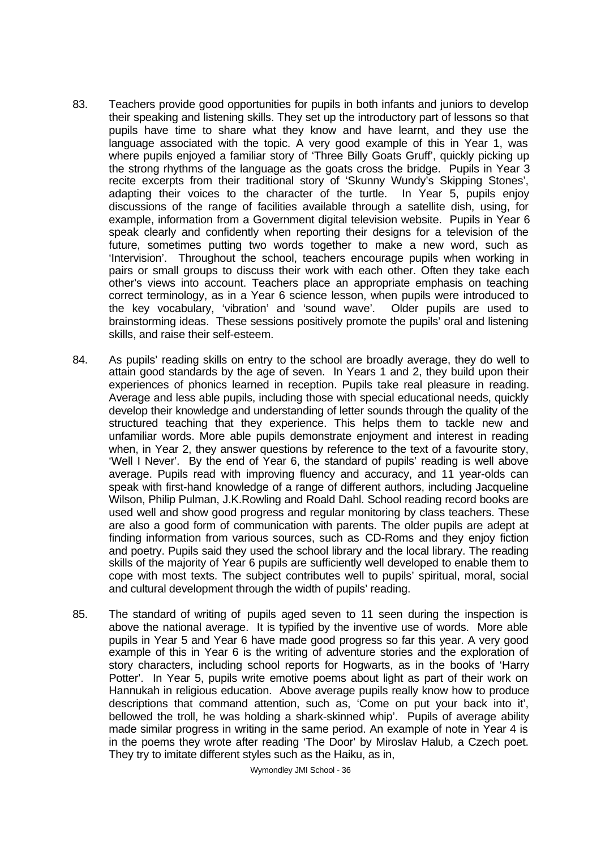- 83. Teachers provide good opportunities for pupils in both infants and juniors to develop their speaking and listening skills. They set up the introductory part of lessons so that pupils have time to share what they know and have learnt, and they use the language associated with the topic. A very good example of this in Year 1, was where pupils enjoyed a familiar story of 'Three Billy Goats Gruff', quickly picking up the strong rhythms of the language as the goats cross the bridge. Pupils in Year 3 recite excerpts from their traditional story of 'Skunny Wundy's Skipping Stones', adapting their voices to the character of the turtle. In Year 5, pupils enjoy discussions of the range of facilities available through a satellite dish, using, for example, information from a Government digital television website. Pupils in Year 6 speak clearly and confidently when reporting their designs for a television of the future, sometimes putting two words together to make a new word, such as 'Intervision'. Throughout the school, teachers encourage pupils when working in pairs or small groups to discuss their work with each other. Often they take each other's views into account. Teachers place an appropriate emphasis on teaching correct terminology, as in a Year 6 science lesson, when pupils were introduced to the key vocabulary, 'vibration' and 'sound wave'. Older pupils are used to brainstorming ideas. These sessions positively promote the pupils' oral and listening skills, and raise their self-esteem.
- 84. As pupils' reading skills on entry to the school are broadly average, they do well to attain good standards by the age of seven. In Years 1 and 2, they build upon their experiences of phonics learned in reception. Pupils take real pleasure in reading. Average and less able pupils, including those with special educational needs, quickly develop their knowledge and understanding of letter sounds through the quality of the structured teaching that they experience. This helps them to tackle new and unfamiliar words. More able pupils demonstrate enjoyment and interest in reading when, in Year 2, they answer questions by reference to the text of a favourite story, 'Well I Never'. By the end of Year 6, the standard of pupils' reading is well above average. Pupils read with improving fluency and accuracy, and 11 year-olds can speak with first-hand knowledge of a range of different authors, including Jacqueline Wilson, Philip Pulman, J.K.Rowling and Roald Dahl. School reading record books are used well and show good progress and regular monitoring by class teachers. These are also a good form of communication with parents. The older pupils are adept at finding information from various sources, such as CD-Roms and they enjoy fiction and poetry. Pupils said they used the school library and the local library. The reading skills of the majority of Year 6 pupils are sufficiently well developed to enable them to cope with most texts. The subject contributes well to pupils' spiritual, moral, social and cultural development through the width of pupils' reading.
- 85. The standard of writing of pupils aged seven to 11 seen during the inspection is above the national average. It is typified by the inventive use of words. More able pupils in Year 5 and Year 6 have made good progress so far this year. A very good example of this in Year 6 is the writing of adventure stories and the exploration of story characters, including school reports for Hogwarts, as in the books of 'Harry Potter'. In Year 5, pupils write emotive poems about light as part of their work on Hannukah in religious education. Above average pupils really know how to produce descriptions that command attention, such as, 'Come on put your back into it', bellowed the troll, he was holding a shark-skinned whip'. Pupils of average ability made similar progress in writing in the same period. An example of note in Year 4 is in the poems they wrote after reading 'The Door' by Miroslav Halub, a Czech poet. They try to imitate different styles such as the Haiku, as in,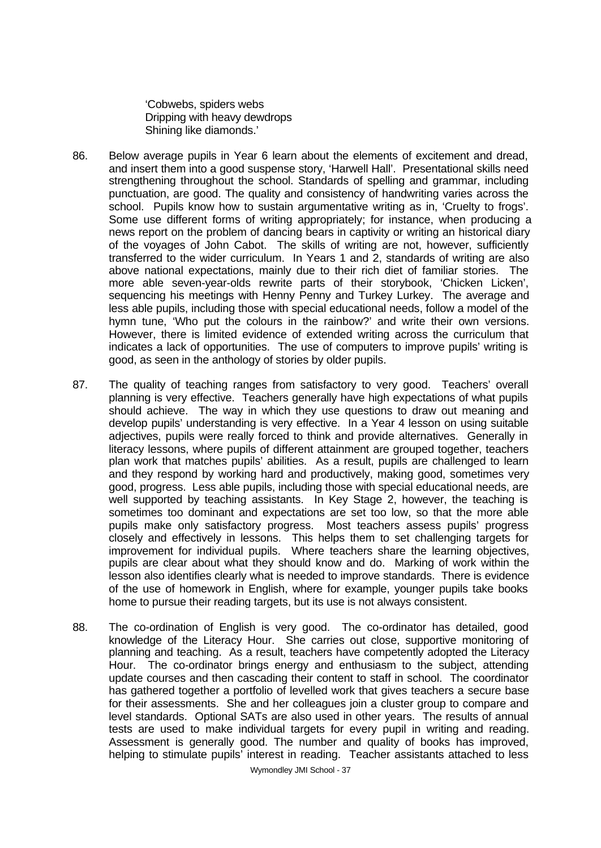'Cobwebs, spiders webs Dripping with heavy dewdrops Shining like diamonds.'

- 86. Below average pupils in Year 6 learn about the elements of excitement and dread, and insert them into a good suspense story, 'Harwell Hall'. Presentational skills need strengthening throughout the school. Standards of spelling and grammar, including punctuation, are good. The quality and consistency of handwriting varies across the school. Pupils know how to sustain argumentative writing as in, 'Cruelty to frogs'. Some use different forms of writing appropriately; for instance, when producing a news report on the problem of dancing bears in captivity or writing an historical diary of the voyages of John Cabot. The skills of writing are not, however, sufficiently transferred to the wider curriculum. In Years 1 and 2, standards of writing are also above national expectations, mainly due to their rich diet of familiar stories. The more able seven-year-olds rewrite parts of their storybook, 'Chicken Licken', sequencing his meetings with Henny Penny and Turkey Lurkey. The average and less able pupils, including those with special educational needs, follow a model of the hymn tune, 'Who put the colours in the rainbow?' and write their own versions. However, there is limited evidence of extended writing across the curriculum that indicates a lack of opportunities. The use of computers to improve pupils' writing is good, as seen in the anthology of stories by older pupils.
- 87. The quality of teaching ranges from satisfactory to very good. Teachers' overall planning is very effective. Teachers generally have high expectations of what pupils should achieve. The way in which they use questions to draw out meaning and develop pupils' understanding is very effective. In a Year 4 lesson on using suitable adjectives, pupils were really forced to think and provide alternatives. Generally in literacy lessons, where pupils of different attainment are grouped together, teachers plan work that matches pupils' abilities. As a result, pupils are challenged to learn and they respond by working hard and productively, making good, sometimes very good, progress. Less able pupils, including those with special educational needs, are well supported by teaching assistants. In Key Stage 2, however, the teaching is sometimes too dominant and expectations are set too low, so that the more able pupils make only satisfactory progress. Most teachers assess pupils' progress closely and effectively in lessons. This helps them to set challenging targets for improvement for individual pupils. Where teachers share the learning objectives, pupils are clear about what they should know and do. Marking of work within the lesson also identifies clearly what is needed to improve standards. There is evidence of the use of homework in English, where for example, younger pupils take books home to pursue their reading targets, but its use is not always consistent.
- 88. The co-ordination of English is very good. The co-ordinator has detailed, good knowledge of the Literacy Hour. She carries out close, supportive monitoring of planning and teaching. As a result, teachers have competently adopted the Literacy Hour. The co-ordinator brings energy and enthusiasm to the subject, attending update courses and then cascading their content to staff in school. The coordinator has gathered together a portfolio of levelled work that gives teachers a secure base for their assessments. She and her colleagues join a cluster group to compare and level standards. Optional SATs are also used in other years. The results of annual tests are used to make individual targets for every pupil in writing and reading. Assessment is generally good. The number and quality of books has improved, helping to stimulate pupils' interest in reading. Teacher assistants attached to less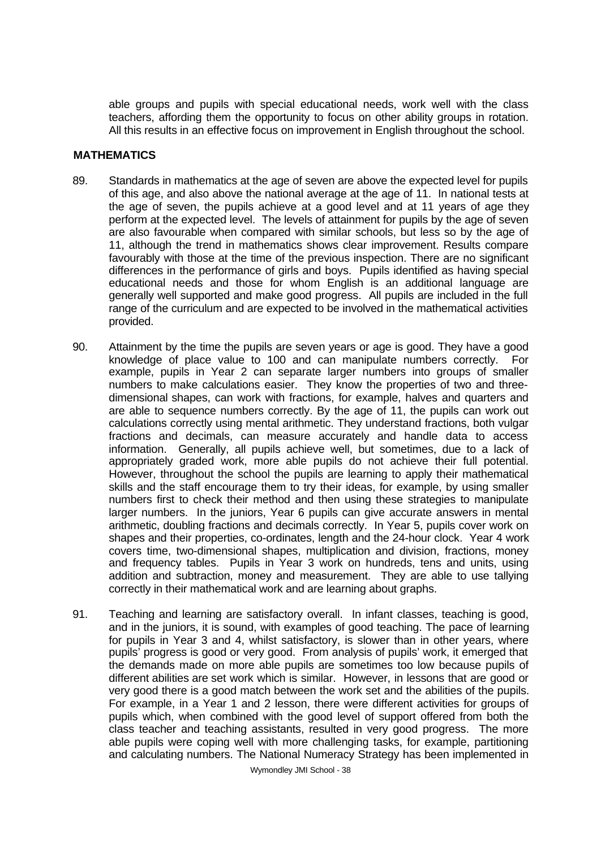able groups and pupils with special educational needs, work well with the class teachers, affording them the opportunity to focus on other ability groups in rotation. All this results in an effective focus on improvement in English throughout the school.

## **MATHEMATICS**

- 89. Standards in mathematics at the age of seven are above the expected level for pupils of this age, and also above the national average at the age of 11. In national tests at the age of seven, the pupils achieve at a good level and at 11 years of age they perform at the expected level. The levels of attainment for pupils by the age of seven are also favourable when compared with similar schools, but less so by the age of 11, although the trend in mathematics shows clear improvement. Results compare favourably with those at the time of the previous inspection. There are no significant differences in the performance of girls and boys. Pupils identified as having special educational needs and those for whom English is an additional language are generally well supported and make good progress. All pupils are included in the full range of the curriculum and are expected to be involved in the mathematical activities provided.
- 90. Attainment by the time the pupils are seven years or age is good. They have a good knowledge of place value to 100 and can manipulate numbers correctly. For example, pupils in Year 2 can separate larger numbers into groups of smaller numbers to make calculations easier. They know the properties of two and threedimensional shapes, can work with fractions, for example, halves and quarters and are able to sequence numbers correctly. By the age of 11, the pupils can work out calculations correctly using mental arithmetic. They understand fractions, both vulgar fractions and decimals, can measure accurately and handle data to access information. Generally, all pupils achieve well, but sometimes, due to a lack of appropriately graded work, more able pupils do not achieve their full potential. However, throughout the school the pupils are learning to apply their mathematical skills and the staff encourage them to try their ideas, for example, by using smaller numbers first to check their method and then using these strategies to manipulate larger numbers. In the juniors, Year 6 pupils can give accurate answers in mental arithmetic, doubling fractions and decimals correctly. In Year 5, pupils cover work on shapes and their properties, co-ordinates, length and the 24-hour clock. Year 4 work covers time, two-dimensional shapes, multiplication and division, fractions, money and frequency tables. Pupils in Year 3 work on hundreds, tens and units, using addition and subtraction, money and measurement. They are able to use tallying correctly in their mathematical work and are learning about graphs.
- 91. Teaching and learning are satisfactory overall. In infant classes, teaching is good, and in the juniors, it is sound, with examples of good teaching. The pace of learning for pupils in Year 3 and 4, whilst satisfactory, is slower than in other years, where pupils' progress is good or very good. From analysis of pupils' work, it emerged that the demands made on more able pupils are sometimes too low because pupils of different abilities are set work which is similar. However, in lessons that are good or very good there is a good match between the work set and the abilities of the pupils. For example, in a Year 1 and 2 lesson, there were different activities for groups of pupils which, when combined with the good level of support offered from both the class teacher and teaching assistants, resulted in very good progress. The more able pupils were coping well with more challenging tasks, for example, partitioning and calculating numbers. The National Numeracy Strategy has been implemented in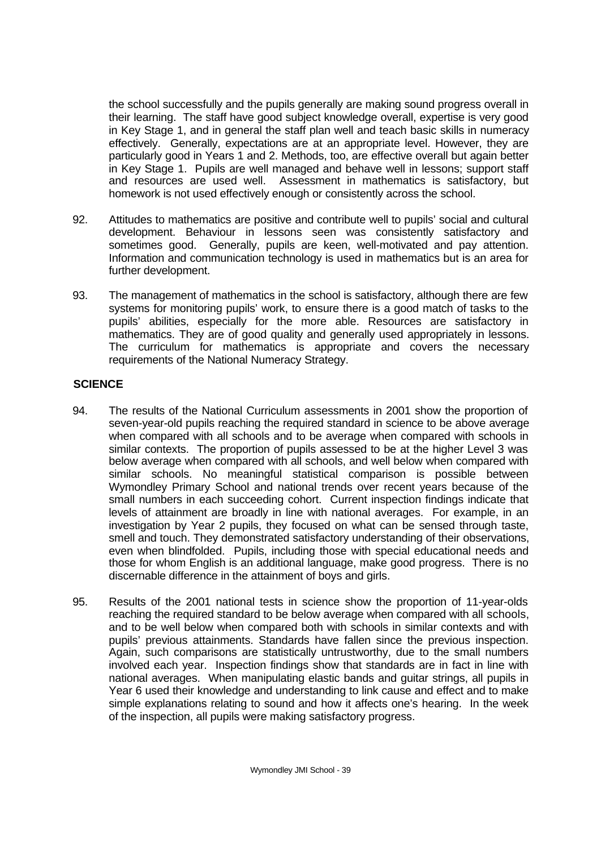the school successfully and the pupils generally are making sound progress overall in their learning. The staff have good subject knowledge overall, expertise is very good in Key Stage 1, and in general the staff plan well and teach basic skills in numeracy effectively. Generally, expectations are at an appropriate level. However, they are particularly good in Years 1 and 2. Methods, too, are effective overall but again better in Key Stage 1. Pupils are well managed and behave well in lessons; support staff and resources are used well. Assessment in mathematics is satisfactory, but homework is not used effectively enough or consistently across the school.

- 92. Attitudes to mathematics are positive and contribute well to pupils' social and cultural development. Behaviour in lessons seen was consistently satisfactory and sometimes good. Generally, pupils are keen, well-motivated and pay attention. Information and communication technology is used in mathematics but is an area for further development.
- 93. The management of mathematics in the school is satisfactory, although there are few systems for monitoring pupils' work, to ensure there is a good match of tasks to the pupils' abilities, especially for the more able. Resources are satisfactory in mathematics. They are of good quality and generally used appropriately in lessons. The curriculum for mathematics is appropriate and covers the necessary requirements of the National Numeracy Strategy.

# **SCIENCE**

- 94. The results of the National Curriculum assessments in 2001 show the proportion of seven-year-old pupils reaching the required standard in science to be above average when compared with all schools and to be average when compared with schools in similar contexts. The proportion of pupils assessed to be at the higher Level 3 was below average when compared with all schools, and well below when compared with similar schools. No meaningful statistical comparison is possible between Wymondley Primary School and national trends over recent years because of the small numbers in each succeeding cohort. Current inspection findings indicate that levels of attainment are broadly in line with national averages. For example, in an investigation by Year 2 pupils, they focused on what can be sensed through taste, smell and touch. They demonstrated satisfactory understanding of their observations, even when blindfolded. Pupils, including those with special educational needs and those for whom English is an additional language, make good progress. There is no discernable difference in the attainment of boys and girls.
- 95. Results of the 2001 national tests in science show the proportion of 11-year-olds reaching the required standard to be below average when compared with all schools, and to be well below when compared both with schools in similar contexts and with pupils' previous attainments. Standards have fallen since the previous inspection. Again, such comparisons are statistically untrustworthy, due to the small numbers involved each year. Inspection findings show that standards are in fact in line with national averages. When manipulating elastic bands and guitar strings, all pupils in Year 6 used their knowledge and understanding to link cause and effect and to make simple explanations relating to sound and how it affects one's hearing. In the week of the inspection, all pupils were making satisfactory progress.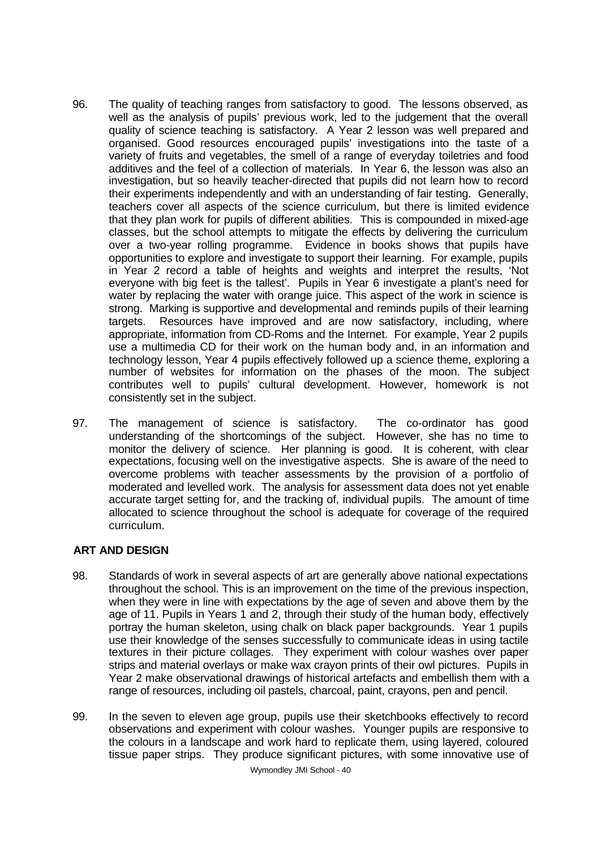- 96. The quality of teaching ranges from satisfactory to good. The lessons observed, as well as the analysis of pupils' previous work, led to the judgement that the overall quality of science teaching is satisfactory. A Year 2 lesson was well prepared and organised. Good resources encouraged pupils' investigations into the taste of a variety of fruits and vegetables, the smell of a range of everyday toiletries and food additives and the feel of a collection of materials. In Year 6, the lesson was also an investigation, but so heavily teacher-directed that pupils did not learn how to record their experiments independently and with an understanding of fair testing. Generally, teachers cover all aspects of the science curriculum, but there is limited evidence that they plan work for pupils of different abilities. This is compounded in mixed-age classes, but the school attempts to mitigate the effects by delivering the curriculum over a two-year rolling programme. Evidence in books shows that pupils have opportunities to explore and investigate to support their learning. For example, pupils in Year 2 record a table of heights and weights and interpret the results, 'Not everyone with big feet is the tallest'. Pupils in Year 6 investigate a plant's need for water by replacing the water with orange juice. This aspect of the work in science is strong. Marking is supportive and developmental and reminds pupils of their learning targets. Resources have improved and are now satisfactory, including, where appropriate, information from CD-Roms and the Internet. For example, Year 2 pupils use a multimedia CD for their work on the human body and, in an information and technology lesson, Year 4 pupils effectively followed up a science theme, exploring a number of websites for information on the phases of the moon. The subject contributes well to pupils' cultural development. However, homework is not consistently set in the subject.
- 97. The management of science is satisfactory. The co-ordinator has good understanding of the shortcomings of the subject. However, she has no time to monitor the delivery of science. Her planning is good. It is coherent, with clear expectations, focusing well on the investigative aspects. She is aware of the need to overcome problems with teacher assessments by the provision of a portfolio of moderated and levelled work. The analysis for assessment data does not yet enable accurate target setting for, and the tracking of, individual pupils. The amount of time allocated to science throughout the school is adequate for coverage of the required curriculum.

# **ART AND DESIGN**

- 98. Standards of work in several aspects of art are generally above national expectations throughout the school. This is an improvement on the time of the previous inspection, when they were in line with expectations by the age of seven and above them by the age of 11. Pupils in Years 1 and 2, through their study of the human body, effectively portray the human skeleton, using chalk on black paper backgrounds. Year 1 pupils use their knowledge of the senses successfully to communicate ideas in using tactile textures in their picture collages. They experiment with colour washes over paper strips and material overlays or make wax crayon prints of their owl pictures. Pupils in Year 2 make observational drawings of historical artefacts and embellish them with a range of resources, including oil pastels, charcoal, paint, crayons, pen and pencil.
- 99. In the seven to eleven age group, pupils use their sketchbooks effectively to record observations and experiment with colour washes. Younger pupils are responsive to the colours in a landscape and work hard to replicate them, using layered, coloured tissue paper strips. They produce significant pictures, with some innovative use of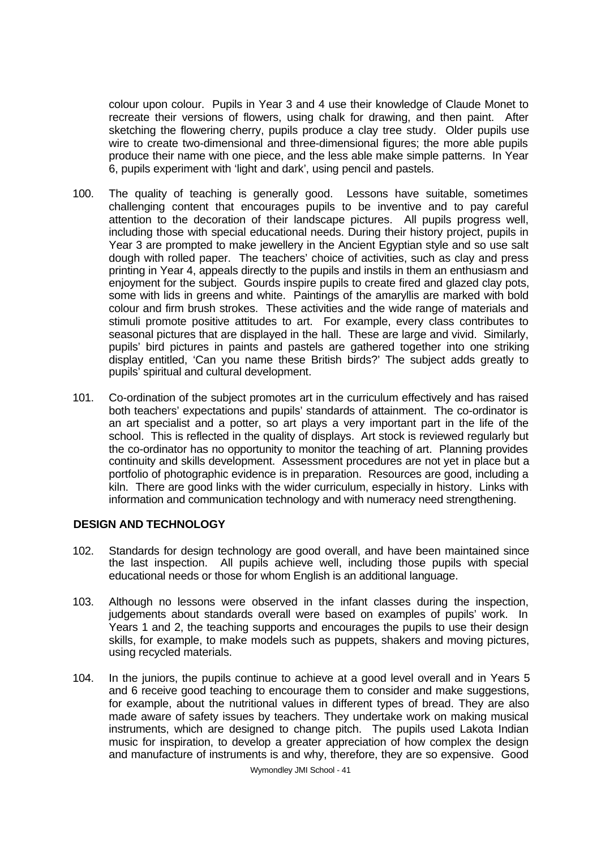colour upon colour. Pupils in Year 3 and 4 use their knowledge of Claude Monet to recreate their versions of flowers, using chalk for drawing, and then paint. After sketching the flowering cherry, pupils produce a clay tree study. Older pupils use wire to create two-dimensional and three-dimensional figures; the more able pupils produce their name with one piece, and the less able make simple patterns. In Year 6, pupils experiment with 'light and dark', using pencil and pastels.

- 100. The quality of teaching is generally good. Lessons have suitable, sometimes challenging content that encourages pupils to be inventive and to pay careful attention to the decoration of their landscape pictures. All pupils progress well, including those with special educational needs. During their history project, pupils in Year 3 are prompted to make jewellery in the Ancient Egyptian style and so use salt dough with rolled paper. The teachers' choice of activities, such as clay and press printing in Year 4, appeals directly to the pupils and instils in them an enthusiasm and enjoyment for the subject. Gourds inspire pupils to create fired and glazed clay pots, some with lids in greens and white. Paintings of the amaryllis are marked with bold colour and firm brush strokes. These activities and the wide range of materials and stimuli promote positive attitudes to art. For example, every class contributes to seasonal pictures that are displayed in the hall. These are large and vivid. Similarly, pupils' bird pictures in paints and pastels are gathered together into one striking display entitled, 'Can you name these British birds?' The subject adds greatly to pupils' spiritual and cultural development.
- 101. Co-ordination of the subject promotes art in the curriculum effectively and has raised both teachers' expectations and pupils' standards of attainment. The co-ordinator is an art specialist and a potter, so art plays a very important part in the life of the school. This is reflected in the quality of displays. Art stock is reviewed regularly but the co-ordinator has no opportunity to monitor the teaching of art. Planning provides continuity and skills development. Assessment procedures are not yet in place but a portfolio of photographic evidence is in preparation. Resources are good, including a kiln. There are good links with the wider curriculum, especially in history. Links with information and communication technology and with numeracy need strengthening.

# **DESIGN AND TECHNOLOGY**

- 102. Standards for design technology are good overall, and have been maintained since the last inspection. All pupils achieve well, including those pupils with special educational needs or those for whom English is an additional language.
- 103. Although no lessons were observed in the infant classes during the inspection, judgements about standards overall were based on examples of pupils' work. In Years 1 and 2, the teaching supports and encourages the pupils to use their design skills, for example, to make models such as puppets, shakers and moving pictures, using recycled materials.
- 104. In the juniors, the pupils continue to achieve at a good level overall and in Years 5 and 6 receive good teaching to encourage them to consider and make suggestions, for example, about the nutritional values in different types of bread. They are also made aware of safety issues by teachers. They undertake work on making musical instruments, which are designed to change pitch. The pupils used Lakota Indian music for inspiration, to develop a greater appreciation of how complex the design and manufacture of instruments is and why, therefore, they are so expensive. Good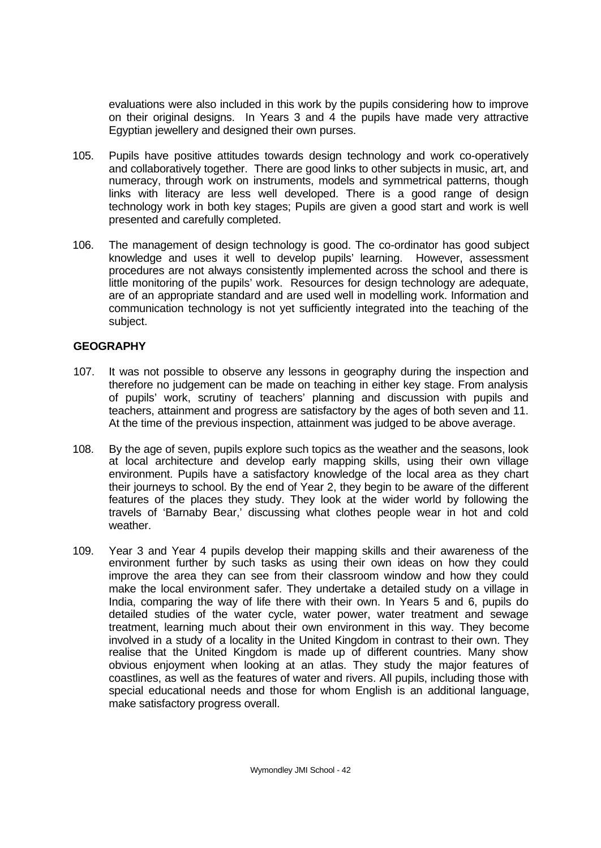evaluations were also included in this work by the pupils considering how to improve on their original designs. In Years 3 and 4 the pupils have made very attractive Egyptian jewellery and designed their own purses.

- 105. Pupils have positive attitudes towards design technology and work co-operatively and collaboratively together. There are good links to other subjects in music, art, and numeracy, through work on instruments, models and symmetrical patterns, though links with literacy are less well developed. There is a good range of design technology work in both key stages; Pupils are given a good start and work is well presented and carefully completed.
- 106. The management of design technology is good. The co-ordinator has good subject knowledge and uses it well to develop pupils' learning. However, assessment procedures are not always consistently implemented across the school and there is little monitoring of the pupils' work. Resources for design technology are adequate, are of an appropriate standard and are used well in modelling work. Information and communication technology is not yet sufficiently integrated into the teaching of the subject.

# **GEOGRAPHY**

- 107. It was not possible to observe any lessons in geography during the inspection and therefore no judgement can be made on teaching in either key stage. From analysis of pupils' work, scrutiny of teachers' planning and discussion with pupils and teachers, attainment and progress are satisfactory by the ages of both seven and 11. At the time of the previous inspection, attainment was judged to be above average.
- 108. By the age of seven, pupils explore such topics as the weather and the seasons, look at local architecture and develop early mapping skills, using their own village environment. Pupils have a satisfactory knowledge of the local area as they chart their journeys to school. By the end of Year 2, they begin to be aware of the different features of the places they study. They look at the wider world by following the travels of 'Barnaby Bear,' discussing what clothes people wear in hot and cold weather.
- 109. Year 3 and Year 4 pupils develop their mapping skills and their awareness of the environment further by such tasks as using their own ideas on how they could improve the area they can see from their classroom window and how they could make the local environment safer. They undertake a detailed study on a village in India, comparing the way of life there with their own. In Years 5 and 6, pupils do detailed studies of the water cycle, water power, water treatment and sewage treatment, learning much about their own environment in this way. They become involved in a study of a locality in the United Kingdom in contrast to their own. They realise that the United Kingdom is made up of different countries. Many show obvious enjoyment when looking at an atlas. They study the major features of coastlines, as well as the features of water and rivers. All pupils, including those with special educational needs and those for whom English is an additional language, make satisfactory progress overall.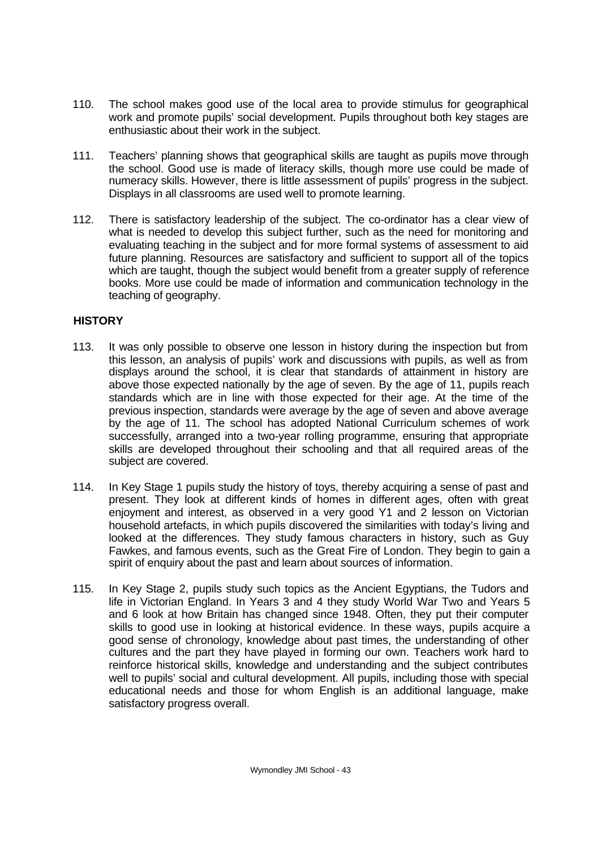- 110. The school makes good use of the local area to provide stimulus for geographical work and promote pupils' social development. Pupils throughout both key stages are enthusiastic about their work in the subject.
- 111. Teachers' planning shows that geographical skills are taught as pupils move through the school. Good use is made of literacy skills, though more use could be made of numeracy skills. However, there is little assessment of pupils' progress in the subject. Displays in all classrooms are used well to promote learning.
- 112. There is satisfactory leadership of the subject. The co-ordinator has a clear view of what is needed to develop this subject further, such as the need for monitoring and evaluating teaching in the subject and for more formal systems of assessment to aid future planning. Resources are satisfactory and sufficient to support all of the topics which are taught, though the subject would benefit from a greater supply of reference books. More use could be made of information and communication technology in the teaching of geography.

# **HISTORY**

- 113. It was only possible to observe one lesson in history during the inspection but from this lesson, an analysis of pupils' work and discussions with pupils, as well as from displays around the school, it is clear that standards of attainment in history are above those expected nationally by the age of seven. By the age of 11, pupils reach standards which are in line with those expected for their age. At the time of the previous inspection, standards were average by the age of seven and above average by the age of 11. The school has adopted National Curriculum schemes of work successfully, arranged into a two-year rolling programme, ensuring that appropriate skills are developed throughout their schooling and that all required areas of the subject are covered.
- 114. In Key Stage 1 pupils study the history of toys, thereby acquiring a sense of past and present. They look at different kinds of homes in different ages, often with great enjoyment and interest, as observed in a very good Y1 and 2 lesson on Victorian household artefacts, in which pupils discovered the similarities with today's living and looked at the differences. They study famous characters in history, such as Guy Fawkes, and famous events, such as the Great Fire of London. They begin to gain a spirit of enquiry about the past and learn about sources of information.
- 115. In Key Stage 2, pupils study such topics as the Ancient Egyptians, the Tudors and life in Victorian England. In Years 3 and 4 they study World War Two and Years 5 and 6 look at how Britain has changed since 1948. Often, they put their computer skills to good use in looking at historical evidence. In these ways, pupils acquire a good sense of chronology, knowledge about past times, the understanding of other cultures and the part they have played in forming our own. Teachers work hard to reinforce historical skills, knowledge and understanding and the subject contributes well to pupils' social and cultural development. All pupils, including those with special educational needs and those for whom English is an additional language, make satisfactory progress overall.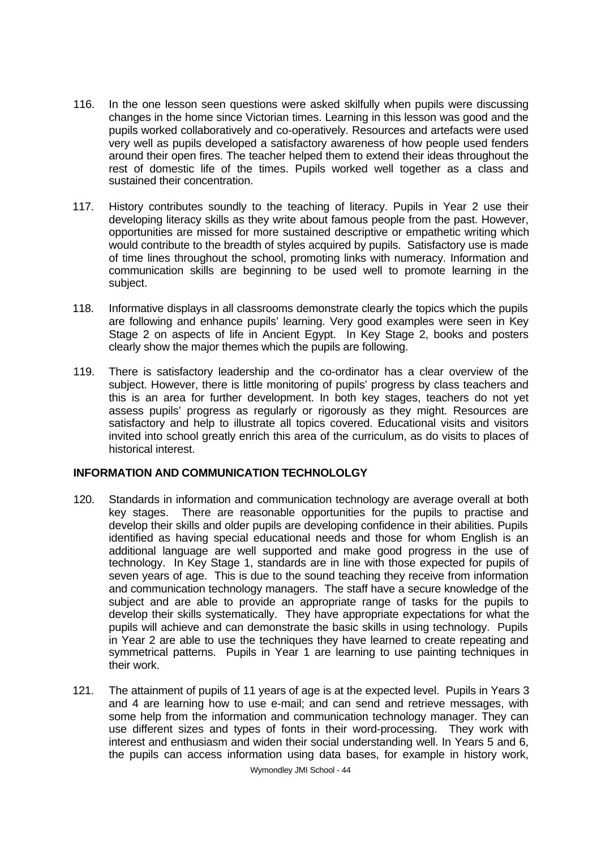- 116. In the one lesson seen questions were asked skilfully when pupils were discussing changes in the home since Victorian times. Learning in this lesson was good and the pupils worked collaboratively and co-operatively. Resources and artefacts were used very well as pupils developed a satisfactory awareness of how people used fenders around their open fires. The teacher helped them to extend their ideas throughout the rest of domestic life of the times. Pupils worked well together as a class and sustained their concentration.
- 117. History contributes soundly to the teaching of literacy. Pupils in Year 2 use their developing literacy skills as they write about famous people from the past. However, opportunities are missed for more sustained descriptive or empathetic writing which would contribute to the breadth of styles acquired by pupils. Satisfactory use is made of time lines throughout the school, promoting links with numeracy. Information and communication skills are beginning to be used well to promote learning in the subject.
- 118. Informative displays in all classrooms demonstrate clearly the topics which the pupils are following and enhance pupils' learning. Very good examples were seen in Key Stage 2 on aspects of life in Ancient Egypt. In Key Stage 2, books and posters clearly show the major themes which the pupils are following.
- 119. There is satisfactory leadership and the co-ordinator has a clear overview of the subject. However, there is little monitoring of pupils' progress by class teachers and this is an area for further development. In both key stages, teachers do not yet assess pupils' progress as regularly or rigorously as they might. Resources are satisfactory and help to illustrate all topics covered. Educational visits and visitors invited into school greatly enrich this area of the curriculum, as do visits to places of historical interest.

## **INFORMATION AND COMMUNICATION TECHNOLOLGY**

- 120. Standards in information and communication technology are average overall at both key stages. There are reasonable opportunities for the pupils to practise and develop their skills and older pupils are developing confidence in their abilities. Pupils identified as having special educational needs and those for whom English is an additional language are well supported and make good progress in the use of technology. In Key Stage 1, standards are in line with those expected for pupils of seven years of age. This is due to the sound teaching they receive from information and communication technology managers. The staff have a secure knowledge of the subject and are able to provide an appropriate range of tasks for the pupils to develop their skills systematically. They have appropriate expectations for what the pupils will achieve and can demonstrate the basic skills in using technology. Pupils in Year 2 are able to use the techniques they have learned to create repeating and symmetrical patterns. Pupils in Year 1 are learning to use painting techniques in their work.
- 121. The attainment of pupils of 11 years of age is at the expected level. Pupils in Years 3 and 4 are learning how to use e-mail; and can send and retrieve messages, with some help from the information and communication technology manager. They can use different sizes and types of fonts in their word-processing. They work with interest and enthusiasm and widen their social understanding well. In Years 5 and 6, the pupils can access information using data bases, for example in history work,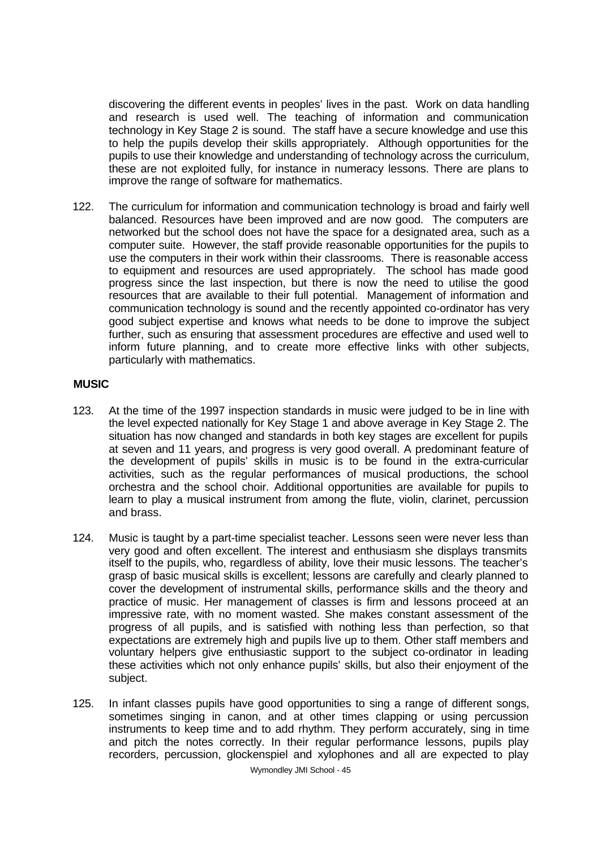discovering the different events in peoples' lives in the past. Work on data handling and research is used well. The teaching of information and communication technology in Key Stage 2 is sound. The staff have a secure knowledge and use this to help the pupils develop their skills appropriately. Although opportunities for the pupils to use their knowledge and understanding of technology across the curriculum, these are not exploited fully, for instance in numeracy lessons. There are plans to improve the range of software for mathematics.

122. The curriculum for information and communication technology is broad and fairly well balanced. Resources have been improved and are now good. The computers are networked but the school does not have the space for a designated area, such as a computer suite. However, the staff provide reasonable opportunities for the pupils to use the computers in their work within their classrooms. There is reasonable access to equipment and resources are used appropriately. The school has made good progress since the last inspection, but there is now the need to utilise the good resources that are available to their full potential. Management of information and communication technology is sound and the recently appointed co-ordinator has very good subject expertise and knows what needs to be done to improve the subject further, such as ensuring that assessment procedures are effective and used well to inform future planning, and to create more effective links with other subjects, particularly with mathematics.

# **MUSIC**

- 123. At the time of the 1997 inspection standards in music were judged to be in line with the level expected nationally for Key Stage 1 and above average in Key Stage 2. The situation has now changed and standards in both key stages are excellent for pupils at seven and 11 years, and progress is very good overall. A predominant feature of the development of pupils' skills in music is to be found in the extra-curricular activities, such as the regular performances of musical productions, the school orchestra and the school choir. Additional opportunities are available for pupils to learn to play a musical instrument from among the flute, violin, clarinet, percussion and brass.
- 124. Music is taught by a part-time specialist teacher. Lessons seen were never less than very good and often excellent. The interest and enthusiasm she displays transmits itself to the pupils, who, regardless of ability, love their music lessons. The teacher's grasp of basic musical skills is excellent; lessons are carefully and clearly planned to cover the development of instrumental skills, performance skills and the theory and practice of music. Her management of classes is firm and lessons proceed at an impressive rate, with no moment wasted. She makes constant assessment of the progress of all pupils, and is satisfied with nothing less than perfection, so that expectations are extremely high and pupils live up to them. Other staff members and voluntary helpers give enthusiastic support to the subject co-ordinator in leading these activities which not only enhance pupils' skills, but also their enjoyment of the subject.
- 125. In infant classes pupils have good opportunities to sing a range of different songs, sometimes singing in canon, and at other times clapping or using percussion instruments to keep time and to add rhythm. They perform accurately, sing in time and pitch the notes correctly. In their regular performance lessons, pupils play recorders, percussion, glockenspiel and xylophones and all are expected to play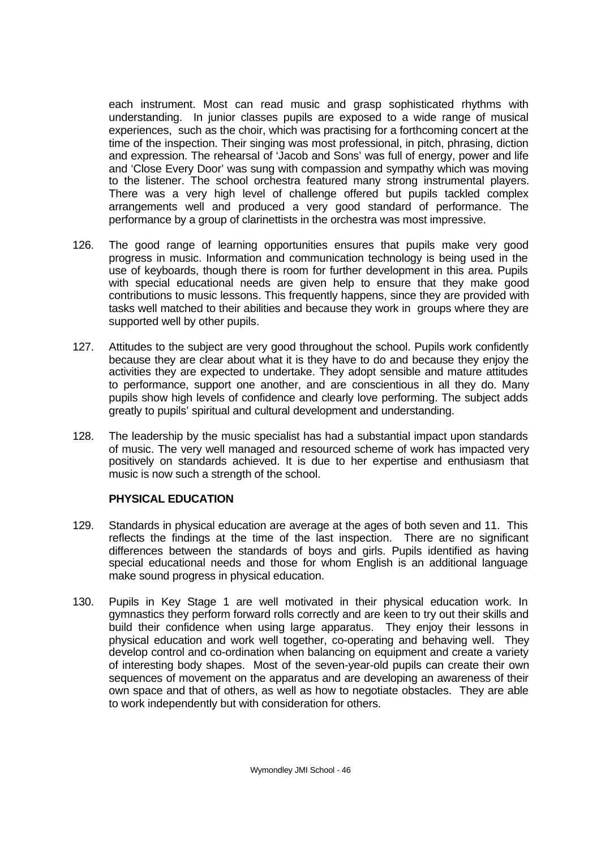each instrument. Most can read music and grasp sophisticated rhythms with understanding. In junior classes pupils are exposed to a wide range of musical experiences, such as the choir, which was practising for a forthcoming concert at the time of the inspection. Their singing was most professional, in pitch, phrasing, diction and expression. The rehearsal of 'Jacob and Sons' was full of energy, power and life and 'Close Every Door' was sung with compassion and sympathy which was moving to the listener. The school orchestra featured many strong instrumental players. There was a very high level of challenge offered but pupils tackled complex arrangements well and produced a very good standard of performance. The performance by a group of clarinettists in the orchestra was most impressive.

- 126. The good range of learning opportunities ensures that pupils make very good progress in music. Information and communication technology is being used in the use of keyboards, though there is room for further development in this area. Pupils with special educational needs are given help to ensure that they make good contributions to music lessons. This frequently happens, since they are provided with tasks well matched to their abilities and because they work in groups where they are supported well by other pupils.
- 127. Attitudes to the subject are very good throughout the school. Pupils work confidently because they are clear about what it is they have to do and because they enjoy the activities they are expected to undertake. They adopt sensible and mature attitudes to performance, support one another, and are conscientious in all they do. Many pupils show high levels of confidence and clearly love performing. The subject adds greatly to pupils' spiritual and cultural development and understanding.
- 128. The leadership by the music specialist has had a substantial impact upon standards of music. The very well managed and resourced scheme of work has impacted very positively on standards achieved. It is due to her expertise and enthusiasm that music is now such a strength of the school.

## **PHYSICAL EDUCATION**

- 129. Standards in physical education are average at the ages of both seven and 11. This reflects the findings at the time of the last inspection. There are no significant differences between the standards of boys and girls. Pupils identified as having special educational needs and those for whom English is an additional language make sound progress in physical education.
- 130. Pupils in Key Stage 1 are well motivated in their physical education work. In gymnastics they perform forward rolls correctly and are keen to try out their skills and build their confidence when using large apparatus. They enjoy their lessons in physical education and work well together, co-operating and behaving well. They develop control and co-ordination when balancing on equipment and create a variety of interesting body shapes. Most of the seven-year-old pupils can create their own sequences of movement on the apparatus and are developing an awareness of their own space and that of others, as well as how to negotiate obstacles. They are able to work independently but with consideration for others.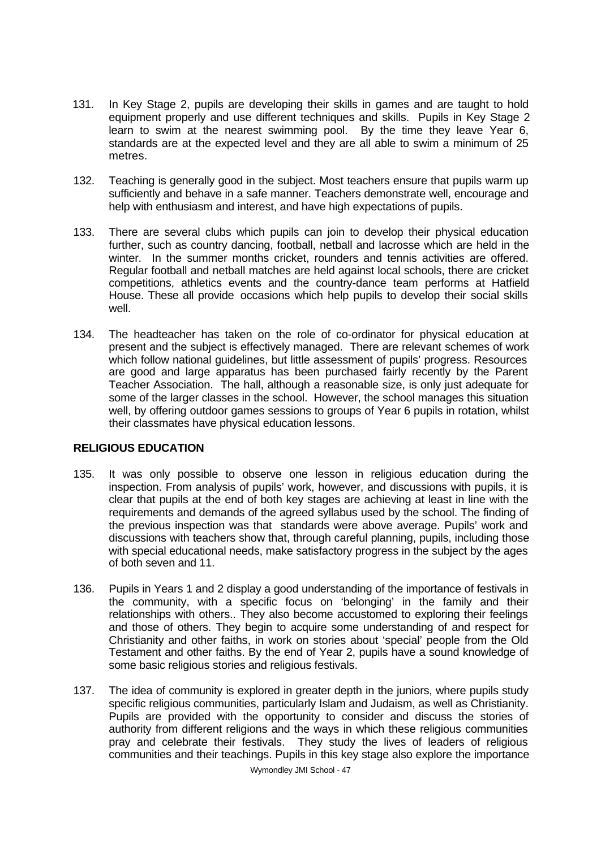- 131. In Key Stage 2, pupils are developing their skills in games and are taught to hold equipment properly and use different techniques and skills. Pupils in Key Stage 2 learn to swim at the nearest swimming pool. By the time they leave Year 6, standards are at the expected level and they are all able to swim a minimum of 25 metres.
- 132. Teaching is generally good in the subject. Most teachers ensure that pupils warm up sufficiently and behave in a safe manner. Teachers demonstrate well, encourage and help with enthusiasm and interest, and have high expectations of pupils.
- 133. There are several clubs which pupils can join to develop their physical education further, such as country dancing, football, netball and lacrosse which are held in the winter. In the summer months cricket, rounders and tennis activities are offered. Regular football and netball matches are held against local schools, there are cricket competitions, athletics events and the country-dance team performs at Hatfield House. These all provide occasions which help pupils to develop their social skills well.
- 134. The headteacher has taken on the role of co-ordinator for physical education at present and the subject is effectively managed. There are relevant schemes of work which follow national quidelines, but little assessment of pupils' progress. Resources are good and large apparatus has been purchased fairly recently by the Parent Teacher Association. The hall, although a reasonable size, is only just adequate for some of the larger classes in the school. However, the school manages this situation well, by offering outdoor games sessions to groups of Year 6 pupils in rotation, whilst their classmates have physical education lessons.

# **RELIGIOUS EDUCATION**

- 135. It was only possible to observe one lesson in religious education during the inspection. From analysis of pupils' work, however, and discussions with pupils, it is clear that pupils at the end of both key stages are achieving at least in line with the requirements and demands of the agreed syllabus used by the school. The finding of the previous inspection was that standards were above average. Pupils' work and discussions with teachers show that, through careful planning, pupils, including those with special educational needs, make satisfactory progress in the subject by the ages of both seven and 11.
- 136. Pupils in Years 1 and 2 display a good understanding of the importance of festivals in the community, with a specific focus on 'belonging' in the family and their relationships with others.. They also become accustomed to exploring their feelings and those of others. They begin to acquire some understanding of and respect for Christianity and other faiths, in work on stories about 'special' people from the Old Testament and other faiths. By the end of Year 2, pupils have a sound knowledge of some basic religious stories and religious festivals.
- 137. The idea of community is explored in greater depth in the juniors, where pupils study specific religious communities, particularly Islam and Judaism, as well as Christianity. Pupils are provided with the opportunity to consider and discuss the stories of authority from different religions and the ways in which these religious communities pray and celebrate their festivals. They study the lives of leaders of religious communities and their teachings. Pupils in this key stage also explore the importance